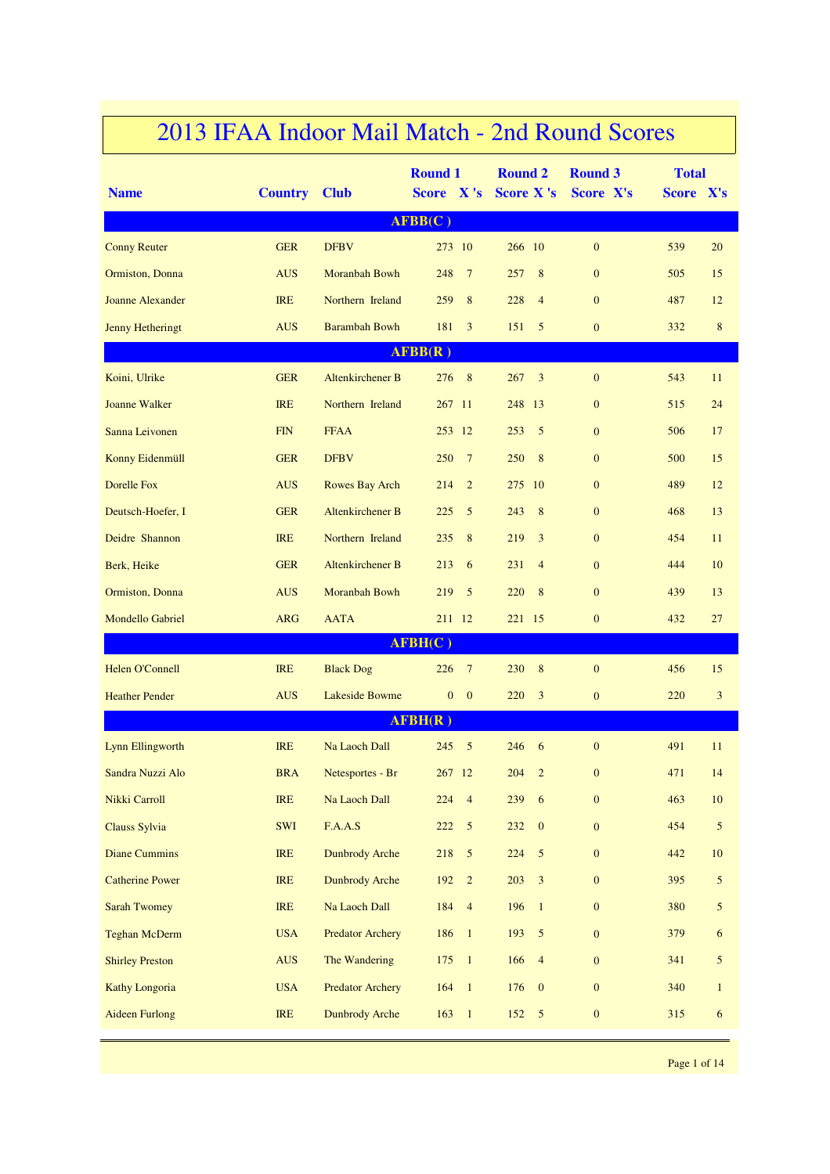| <b>Name</b>             | <b>Country Club</b> |                         | <b>Round 1</b><br>Score X's  | <b>Round 2</b><br><b>Score X's</b> | <b>Round 3</b><br>Score X's | <b>Total</b><br>Score X's |                |
|-------------------------|---------------------|-------------------------|------------------------------|------------------------------------|-----------------------------|---------------------------|----------------|
|                         |                     |                         | AFBB(C)                      |                                    |                             |                           |                |
| <b>Conny Reuter</b>     | <b>GER</b>          | <b>DFBV</b>             | 273 10                       | 266 10                             | $\mathbf{0}$                | 539                       | 20             |
| Ormiston, Donna         | <b>AUS</b>          | Moranbah Bowh           | 248<br>$7\phantom{.0}$       | 8<br>257                           | $\mathbf{0}$                | 505                       | 15             |
| <b>Joanne Alexander</b> | <b>IRE</b>          | Northern Ireland        | 259<br>8                     | 228<br>$\overline{4}$              | $\mathbf{0}$                | 487                       | 12             |
| <b>Jenny Hetheringt</b> | <b>AUS</b>          | <b>Barambah Bowh</b>    | $\overline{3}$<br>181        | 151<br>5                           | $\mathbf{0}$                | 332                       | $\bf 8$        |
|                         |                     |                         | AFBB(R)                      |                                    |                             |                           |                |
| Koini, Ulrike           | <b>GER</b>          | Altenkirchener B        | 8<br>276                     | 267<br>3                           | $\boldsymbol{0}$            | 543                       | 11             |
| Joanne Walker           | <b>IRE</b>          | Northern Ireland        | 267 11                       | 248<br><sup>13</sup>               | $\mathbf{0}$                | 515                       | 24             |
| Sanna Leivonen          | <b>FIN</b>          | <b>FFAA</b>             | 253 12                       | 5<br>253                           | $\mathbf{0}$                | 506                       | 17             |
| Konny Eidenmüll         | <b>GER</b>          | <b>DFBV</b>             | 250<br>$7\phantom{.0}$       | 250<br>8                           | $\mathbf{0}$                | 500                       | 15             |
| <b>Dorelle Fox</b>      | <b>AUS</b>          | Rowes Bay Arch          | $\overline{2}$<br>214        | 275 10                             | $\mathbf{0}$                | 489                       | 12             |
| Deutsch-Hoefer, I       | <b>GER</b>          | Altenkirchener B        | 5<br>225                     | 243<br>8                           | $\mathbf{0}$                | 468                       | 13             |
| Deidre Shannon          | <b>IRE</b>          | Northern Ireland        | 8<br>235                     | 219<br>3                           | $\mathbf{0}$                | 454                       | 11             |
| Berk, Heike             | <b>GER</b>          | Altenkirchener B        | 6<br>213                     | 231<br>$\overline{4}$              | $\mathbf{0}$                | 444                       | 10             |
| Ormiston, Donna         | <b>AUS</b>          | Moranbah Bowh           | 219<br>5                     | 220<br>8                           | $\mathbf{0}$                | 439                       | 13             |
| <b>Mondello Gabriel</b> | <b>ARG</b>          | <b>AATA</b>             | 211 12                       | 221 15                             | $\boldsymbol{0}$            | 432                       | 27             |
|                         |                     |                         | AFBH(C)                      |                                    |                             |                           |                |
| Helen O'Connell         | <b>IRE</b>          | <b>Black Dog</b>        | 226<br>$\overline{7}$        | 230<br>8                           | $\mathbf{0}$                | 456                       | 15             |
| <b>Heather Pender</b>   | <b>AUS</b>          | <b>Lakeside Bowme</b>   | $\mathbf{0}$<br>$\mathbf{0}$ | 220<br>3                           | $\mathbf{0}$                | 220                       | $\overline{3}$ |
|                         |                     |                         | AFBH(R)                      |                                    |                             |                           |                |
| <b>Lynn Ellingworth</b> | <b>IRE</b>          | Na Laoch Dall           | 5<br>245                     | 246<br>6                           | $\mathbf{0}$                | 491                       | 11             |
| Sandra Nuzzi Alo        | <b>BRA</b>          | Netesportes - Br        | 267 12                       | 204<br>$\overline{2}$              | $\mathbf{0}$                | 471                       | 14             |
| Nikki Carroll           | IRE                 | Na Laoch Dall           | 224<br>$\overline{4}$        | 239<br>6                           | $\boldsymbol{0}$            | 463                       | 10             |
| Clauss Sylvia           | SWI                 | F.A.A.S                 | 222<br>$\mathfrak{S}$        | 232<br>$\mathbf{0}$                | $\boldsymbol{0}$            | 454                       | $\mathfrak{S}$ |
| <b>Diane Cummins</b>    | <b>IRE</b>          | <b>Dunbrody Arche</b>   | $\sqrt{5}$<br>218            | 224<br>5                           | $\boldsymbol{0}$            | 442                       | $10\,$         |
| <b>Catherine Power</b>  | <b>IRE</b>          | <b>Dunbrody Arche</b>   | 192<br>$\overline{2}$        | 203<br>$\mathbf{3}$                | $\boldsymbol{0}$            | 395                       | $\mathfrak{S}$ |
| <b>Sarah Twomey</b>     | IRE                 | Na Laoch Dall           | 184<br>$\overline{4}$        | 196<br>$\overline{1}$              | $\boldsymbol{0}$            | 380                       | $\mathfrak{S}$ |
| <b>Teghan McDerm</b>    | <b>USA</b>          | <b>Predator Archery</b> | 186<br>$\mathbf{1}$          | 193<br>$\mathfrak{S}$              | $\boldsymbol{0}$            | 379                       | 6              |
| <b>Shirley Preston</b>  | <b>AUS</b>          | The Wandering           | 175<br>$\mathbf{1}$          | 166<br>$\overline{4}$              | $\boldsymbol{0}$            | 341                       | $\mathfrak{S}$ |
| <b>Kathy Longoria</b>   | <b>USA</b>          | <b>Predator Archery</b> | $\mathbf{1}$<br>164          | 176<br>$\mathbf{0}$                | $\boldsymbol{0}$            | 340                       | $\mathbf{1}$   |
| <b>Aideen Furlong</b>   | <b>IRE</b>          | <b>Dunbrody Arche</b>   | 163<br>$\mathbf{1}$          | 152<br>$5\overline{)}$             | $\boldsymbol{0}$            | 315                       | 6              |
|                         |                     |                         |                              |                                    |                             |                           |                |

## 2013 IFAA Indoor Mail Match - 2nd Round Scores

Page 1 of 14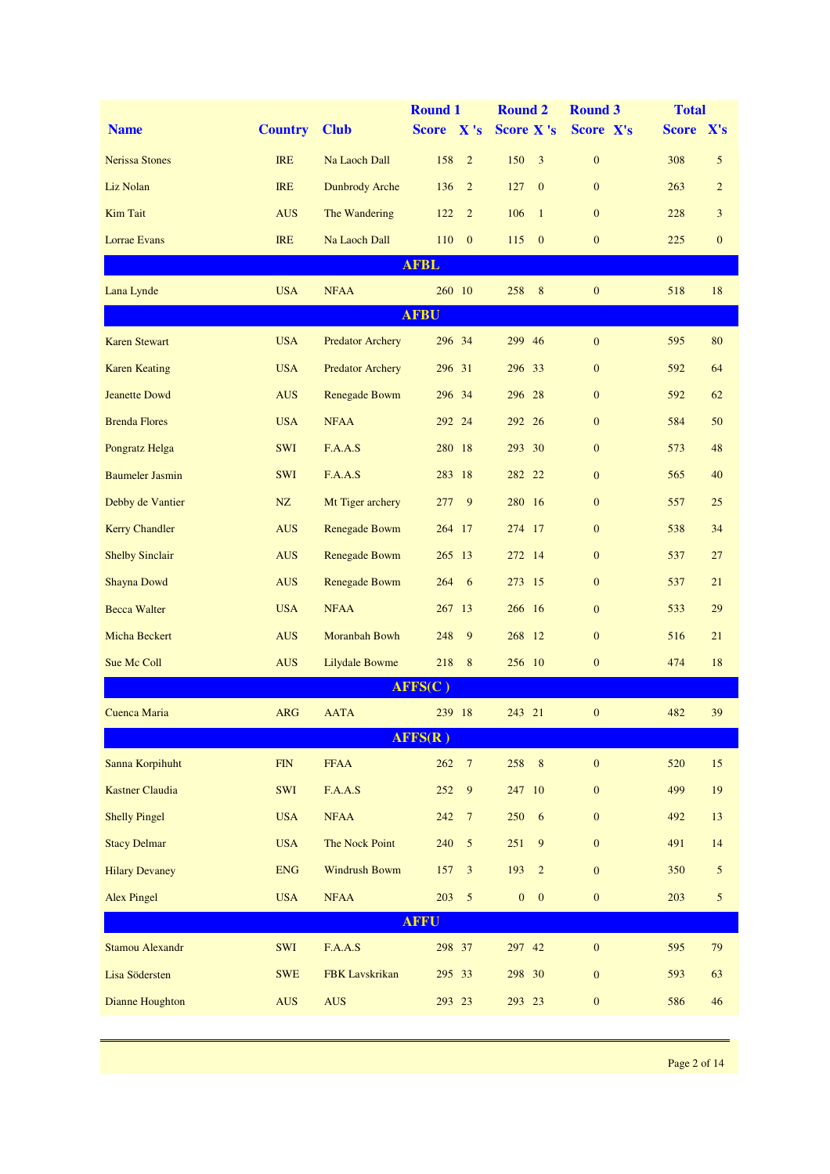|                        |                |                         | <b>Round 1</b>          | <b>Round 2</b>                   | <b>Round 3</b>   | <b>Total</b> |                  |
|------------------------|----------------|-------------------------|-------------------------|----------------------------------|------------------|--------------|------------------|
| <b>Name</b>            | <b>Country</b> | <b>Club</b>             | Score X's               | <b>Score X's</b>                 | Score X's        | Score X's    |                  |
| <b>Nerissa Stones</b>  | <b>IRE</b>     | Na Laoch Dall           | 158<br>$\overline{2}$   | 150<br>$\overline{3}$            | $\boldsymbol{0}$ | 308          | $\mathfrak{S}$   |
| Liz Nolan              | <b>IRE</b>     | <b>Dunbrody Arche</b>   | 136<br>$\overline{2}$   | 127<br>$\mathbf{0}$              | $\mathbf{0}$     | 263          | $\overline{c}$   |
| <b>Kim Tait</b>        | <b>AUS</b>     | The Wandering           | 122<br>$\overline{2}$   | 106<br>$\overline{1}$            | $\mathbf{0}$     | 228          | 3                |
| Lorrae Evans           | <b>IRE</b>     | Na Laoch Dall           | 110<br>$\mathbf{0}$     | 115<br>$\mathbf{0}$              | $\boldsymbol{0}$ | 225          | $\boldsymbol{0}$ |
|                        |                |                         | <b>AFBL</b>             |                                  |                  |              |                  |
| Lana Lynde             | <b>USA</b>     | <b>NFAA</b>             | 260 10                  | 258<br>8                         | $\boldsymbol{0}$ | 518          | 18               |
|                        |                |                         | <b>AFBU</b>             |                                  |                  |              |                  |
| <b>Karen Stewart</b>   | <b>USA</b>     | <b>Predator Archery</b> | 296 34                  | 299 46                           | $\mathbf{0}$     | 595          | 80               |
| <b>Karen Keating</b>   | <b>USA</b>     | <b>Predator Archery</b> | 296 31                  | 296 33                           | $\mathbf{0}$     | 592          | 64               |
| <b>Jeanette Dowd</b>   | <b>AUS</b>     | Renegade Bowm           | 296 34                  | 296 28                           | $\mathbf{0}$     | 592          | 62               |
| <b>Brenda Flores</b>   | <b>USA</b>     | <b>NFAA</b>             | 292 24                  | 292 26                           | $\mathbf{0}$     | 584          | 50               |
| Pongratz Helga         | SWI            | F.A.A.S                 | 280 18                  | 293 30                           | $\boldsymbol{0}$ | 573          | 48               |
| <b>Baumeler Jasmin</b> | <b>SWI</b>     | F.A.A.S                 | 283 18                  | 282 22                           | $\mathbf{0}$     | 565          | 40               |
| Debby de Vantier       | NZ             | Mt Tiger archery        | 9<br>277                | 280 16                           | $\mathbf{0}$     | 557          | 25               |
| <b>Kerry Chandler</b>  | <b>AUS</b>     | Renegade Bowm           | 264 17                  | 274 17                           | $\boldsymbol{0}$ | 538          | 34               |
| <b>Shelby Sinclair</b> | <b>AUS</b>     | Renegade Bowm           | 265 13                  | 272 14                           | $\mathbf{0}$     | 537          | 27               |
| Shayna Dowd            | <b>AUS</b>     | Renegade Bowm           | 6<br>264                | 273 15                           | $\boldsymbol{0}$ | 537          | 21               |
| <b>Becca Walter</b>    | <b>USA</b>     | <b>NFAA</b>             | 267 13                  | 266 16                           | $\mathbf{0}$     | 533          | 29               |
| Micha Beckert          | <b>AUS</b>     | Moranbah Bowh           | 9<br>248                | 268 12                           | $\mathbf{0}$     | 516          | 21               |
| Sue Mc Coll            | <b>AUS</b>     | Lilydale Bowme          | 8<br>218                | 256 10                           | $\boldsymbol{0}$ | 474          | 18               |
|                        |                |                         | AFFS(C)                 |                                  |                  |              |                  |
| Cuenca Maria           | <b>ARG</b>     | <b>AATA</b>             | 239 18                  | 243 21                           | $\boldsymbol{0}$ | 482          | 39               |
|                        |                |                         | AFFS(R)                 |                                  |                  |              |                  |
| Sanna Korpihuht        | FIN            | <b>FFAA</b>             | 262<br>$\boldsymbol{7}$ | 258<br>8                         | $\boldsymbol{0}$ | 520          | 15               |
| <b>Kastner Claudia</b> | SWI            | F.A.A.S                 | $\boldsymbol{9}$<br>252 | 247<br>10                        | $\boldsymbol{0}$ | 499          | 19               |
| <b>Shelly Pingel</b>   | <b>USA</b>     | <b>NFAA</b>             | $\boldsymbol{7}$<br>242 | 250<br>6                         | $\overline{0}$   | 492          | 13               |
| <b>Stacy Delmar</b>    | <b>USA</b>     | The Nock Point          | $\sqrt{5}$<br>240       | 251<br>9                         | $\overline{0}$   | 491          | 14               |
| <b>Hilary Devaney</b>  | <b>ENG</b>     | <b>Windrush Bowm</b>    | $\mathfrak{Z}$<br>157   | 193<br>$\overline{2}$            | $\boldsymbol{0}$ | 350          | $\sqrt{5}$       |
| <b>Alex Pingel</b>     | <b>USA</b>     | <b>NFAA</b>             | $\sqrt{5}$<br>203       | $\boldsymbol{0}$<br>$\mathbf{0}$ | $\boldsymbol{0}$ | 203          | $\mathfrak{S}$   |
|                        |                |                         | <b>AFFU</b>             |                                  |                  |              |                  |
| <b>Stamou Alexandr</b> | SWI            | F.A.A.S                 | 298 37                  | 297 42                           | $\boldsymbol{0}$ | 595          | 79               |
| Lisa Södersten         | <b>SWE</b>     | FBK Lavskrikan          | 295 33                  | 298 30                           | $\boldsymbol{0}$ | 593          | 63               |
| Dianne Houghton        | AUS            | <b>AUS</b>              | 293 23                  | 293 23                           | $\mathbf{0}$     | 586          | 46               |
|                        |                |                         |                         |                                  |                  |              |                  |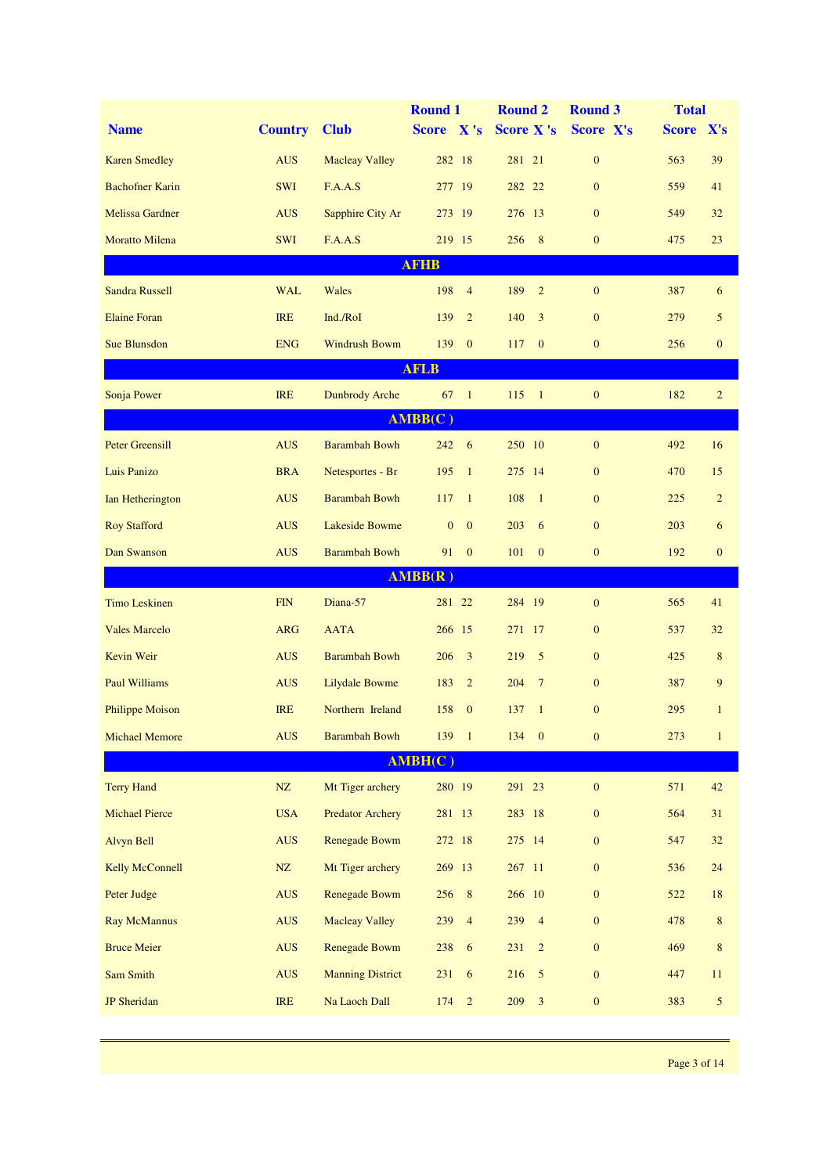|                        |                |                         | <b>Round 1</b>               | <b>Round 2</b>         | <b>Round 3</b>   | <b>Total</b> |                |
|------------------------|----------------|-------------------------|------------------------------|------------------------|------------------|--------------|----------------|
| <b>Name</b>            | <b>Country</b> | <b>Club</b>             | Score X's                    | <b>Score X's</b>       | Score X's        | Score X's    |                |
| <b>Karen Smedley</b>   | <b>AUS</b>     | <b>Macleay Valley</b>   | 282 18                       | 281 21                 | $\boldsymbol{0}$ | 563          | 39             |
| <b>Bachofner Karin</b> | <b>SWI</b>     | F.A.A.S                 | 277 19                       | 282 22                 | $\mathbf{0}$     | 559          | 41             |
| <b>Melissa Gardner</b> | <b>AUS</b>     | Sapphire City Ar        | 273 19                       | 276 13                 | $\mathbf{0}$     | 549          | 32             |
| <b>Moratto Milena</b>  | <b>SWI</b>     | F.A.A.S                 | 219 15                       | 8<br>256               | $\mathbf{0}$     | 475          | 23             |
|                        |                |                         | <b>AFHB</b>                  |                        |                  |              |                |
| <b>Sandra Russell</b>  | <b>WAL</b>     | Wales                   | 198<br>$\overline{4}$        | 189<br>$\overline{2}$  | $\mathbf{0}$     | 387          | 6              |
| <b>Elaine Foran</b>    | <b>IRE</b>     | Ind./RoI                | 139<br>$\overline{2}$        | 140<br>3               | $\mathbf{0}$     | 279          | 5              |
| <b>Sue Blunsdon</b>    | <b>ENG</b>     | <b>Windrush Bowm</b>    | $\mathbf{0}$<br>139          | 117<br>$\mathbf{0}$    | $\mathbf{0}$     | 256          | $\mathbf{0}$   |
|                        |                |                         | <b>AFLB</b>                  |                        |                  |              |                |
| Sonja Power            | <b>IRE</b>     | <b>Dunbrody Arche</b>   | $67 \quad 1$                 | $115 \t1$              | $\mathbf{0}$     | 182          | $\overline{2}$ |
|                        |                |                         | AMBB(C)                      |                        |                  |              |                |
| <b>Peter Greensill</b> | <b>AUS</b>     | <b>Barambah Bowh</b>    | $242 \t 6$                   | 250 10                 | $\mathbf{0}$     | 492          | 16             |
| Luis Panizo            | <b>BRA</b>     | Netesportes - Br        | $\mathbf{1}$<br>195          | 275 14                 | $\mathbf{0}$     | 470          | 15             |
| Ian Hetherington       | <b>AUS</b>     | <b>Barambah Bowh</b>    | 117<br>$\mathbf{1}$          | 108<br>$\overline{1}$  | $\mathbf{0}$     | 225          | $\overline{2}$ |
| <b>Roy Stafford</b>    | <b>AUS</b>     | <b>Lakeside Bowme</b>   | $\mathbf{0}$<br>$\mathbf{0}$ | 203<br>6               | $\mathbf{0}$     | 203          | 6              |
| Dan Swanson            | <b>AUS</b>     | <b>Barambah Bowh</b>    | $\mathbf{0}$<br>91           | 101<br>$\mathbf{0}$    | $\mathbf{0}$     | 192          | $\mathbf{0}$   |
|                        |                |                         | AMBB(R)                      |                        |                  |              |                |
| <b>Timo Leskinen</b>   | <b>FIN</b>     | Diana-57                | 281 22                       | 284 19                 | $\mathbf{0}$     | 565          | 41             |
| <b>Vales Marcelo</b>   | <b>ARG</b>     | <b>AATA</b>             | 266 15                       | 271 17                 | $\mathbf{0}$     | 537          | 32             |
| Kevin Weir             | <b>AUS</b>     | <b>Barambah Bowh</b>    | 3<br>206                     | 219<br>5               | $\mathbf{0}$     | 425          | 8              |
| <b>Paul Williams</b>   | <b>AUS</b>     | <b>Lilydale Bowme</b>   | $\overline{2}$<br>183        | 204<br>$7\phantom{.0}$ | $\mathbf{0}$     | 387          | 9              |
| <b>Philippe Moison</b> | <b>IRE</b>     | Northern Ireland        | 158<br>$\mathbf{0}$          | 137<br>$\mathbf{1}$    | $\mathbf{0}$     | 295          | $\mathbf{1}$   |
| <b>Michael Memore</b>  | <b>AUS</b>     | <b>Barambah Bowh</b>    | 139 1                        | 134<br>$\mathbf{0}$    | $\boldsymbol{0}$ | 273          | $\mathbf{1}$   |
|                        |                |                         | AMBH(C)                      |                        |                  |              |                |
| <b>Terry Hand</b>      | $\rm{NZ}$      | Mt Tiger archery        | 280 19                       | 291 23                 | $\boldsymbol{0}$ | 571          | 42             |
| <b>Michael Pierce</b>  | <b>USA</b>     | <b>Predator Archery</b> | 281 13                       | 283 18                 | $\mathbf{0}$     | 564          | 31             |
| Alvyn Bell             | <b>AUS</b>     | <b>Renegade Bowm</b>    | 272 18                       | 275 14                 | $\boldsymbol{0}$ | 547          | $32\,$         |
| <b>Kelly McConnell</b> | ${\rm NZ}$     | Mt Tiger archery        | 269 13                       | 267 11                 | $\mathbf{0}$     | 536          | 24             |
| Peter Judge            | <b>AUS</b>     | Renegade Bowm           | 256<br>$8\phantom{1}$        | 266 10                 | $\boldsymbol{0}$ | 522          | $18\,$         |
| <b>Ray McMannus</b>    | <b>AUS</b>     | <b>Macleay Valley</b>   | 239<br>$\overline{4}$        | 239<br>$\overline{4}$  | $\boldsymbol{0}$ | 478          | 8              |
| <b>Bruce Meier</b>     | <b>AUS</b>     | Renegade Bowm           | $\sqrt{6}$<br>238            | 231<br>$\overline{2}$  | $\mathbf{0}$     | 469          | $\,8\,$        |
| Sam Smith              | <b>AUS</b>     | <b>Manning District</b> | 231<br>6                     | 216<br>$\overline{5}$  | $\boldsymbol{0}$ | 447          | 11             |
| <b>JP</b> Sheridan     | IRE            | Na Laoch Dall           | 174<br>$\sqrt{2}$            | 209<br>$\mathfrak{Z}$  | $\boldsymbol{0}$ | 383          | $\sqrt{5}$     |
|                        |                |                         |                              |                        |                  |              |                |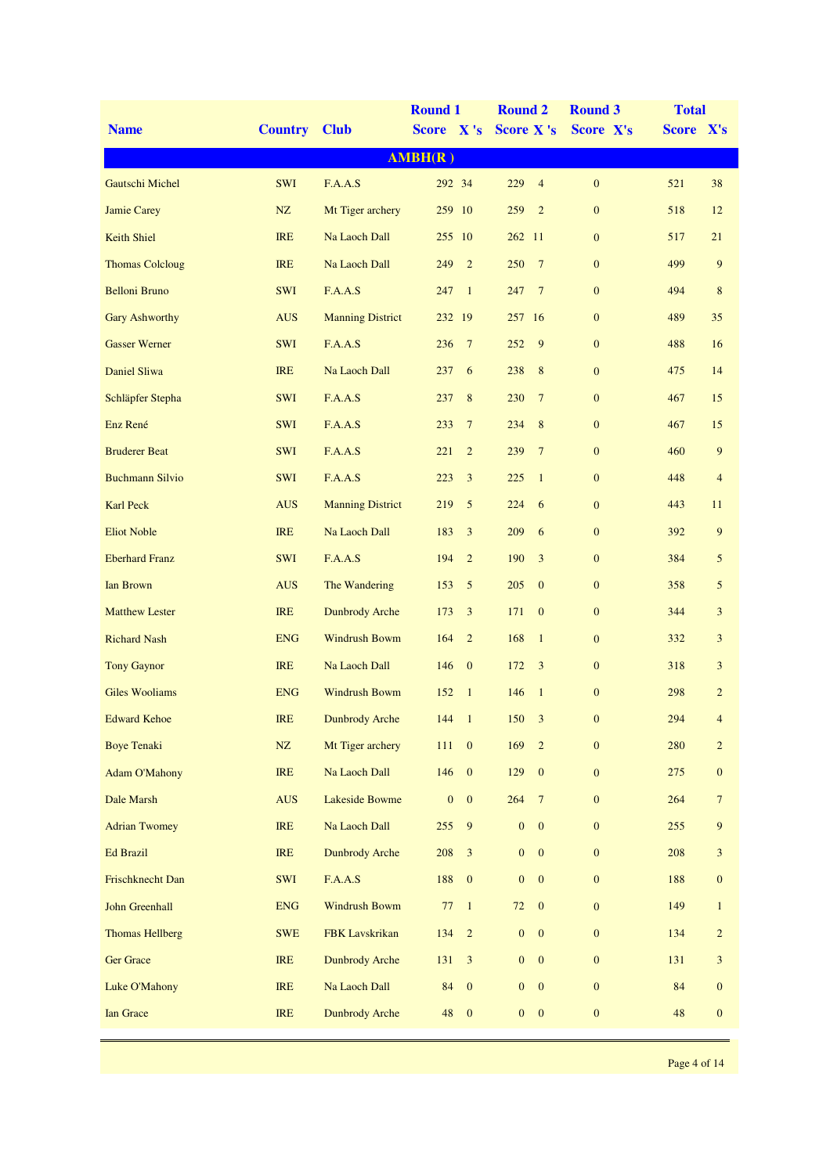|                        |                |                         | <b>Round 1</b>                   | <b>Round 2</b>                   | <b>Round 3</b>   | <b>Total</b>                    |
|------------------------|----------------|-------------------------|----------------------------------|----------------------------------|------------------|---------------------------------|
| <b>Name</b>            | <b>Country</b> | <b>Club</b>             | Score X's                        | <b>Score X's</b>                 | Score X's        | Score X's                       |
|                        |                |                         | AMBH(R)                          |                                  |                  |                                 |
| Gautschi Michel        | <b>SWI</b>     | F.A.A.S                 | 292 34                           | $\overline{4}$<br>229            | $\boldsymbol{0}$ | 521<br>38                       |
| <b>Jamie Carey</b>     | NZ             | Mt Tiger archery        | 259 10                           | 259<br>$\overline{2}$            | $\boldsymbol{0}$ | 518<br>12                       |
| <b>Keith Shiel</b>     | <b>IRE</b>     | Na Laoch Dall           | 255 10                           | 262 11                           | $\mathbf{0}$     | 517<br>21                       |
| <b>Thomas Colcloug</b> | <b>IRE</b>     | Na Laoch Dall           | $\overline{2}$<br>249            | 250<br>$7\phantom{.0}$           | $\boldsymbol{0}$ | 499<br>9                        |
| <b>Belloni Bruno</b>   | <b>SWI</b>     | F.A.A.S                 | $\mathbf{1}$<br>247              | $7\phantom{.0}$<br>247           | $\mathbf{0}$     | 494<br>$\,8\,$                  |
| <b>Gary Ashworthy</b>  | <b>AUS</b>     | <b>Manning District</b> | 232 19                           | 16<br>257                        | $\boldsymbol{0}$ | 489<br>35                       |
| <b>Gasser Werner</b>   | <b>SWI</b>     | F.A.A.S                 | $7\phantom{.0}$<br>236           | 9<br>252                         | $\boldsymbol{0}$ | 488<br>16                       |
| Daniel Sliwa           | <b>IRE</b>     | Na Laoch Dall           | 6<br>237                         | 238<br>8                         | $\mathbf{0}$     | 475<br>14                       |
| Schläpfer Stepha       | <b>SWI</b>     | F.A.A.S                 | 8<br>237                         | 230<br>$7\phantom{.0}$           | $\mathbf{0}$     | 467<br>15                       |
| Enz René               | <b>SWI</b>     | F.A.A.S                 | $7\phantom{.0}$<br>233           | 234<br>8                         | $\mathbf{0}$     | 467<br>15                       |
| <b>Bruderer Beat</b>   | <b>SWI</b>     | F.A.A.S                 | $\overline{2}$<br>221            | 239<br>$7\phantom{.0}$           | $\boldsymbol{0}$ | $\overline{9}$<br>460           |
| <b>Buchmann Silvio</b> | <b>SWI</b>     | F.A.A.S                 | 3<br>223                         | 225<br>$\mathbf{1}$              | $\boldsymbol{0}$ | 448<br>$\overline{4}$           |
| <b>Karl Peck</b>       | <b>AUS</b>     | <b>Manning District</b> | 219<br>5                         | 224<br>6                         | $\mathbf{0}$     | 443<br>11                       |
| <b>Eliot Noble</b>     | <b>IRE</b>     | Na Laoch Dall           | 183<br>3                         | 209<br>6                         | $\mathbf{0}$     | 392<br>9                        |
| <b>Eberhard Franz</b>  | <b>SWI</b>     | F.A.A.S                 | 194<br>$\overline{2}$            | 190<br>3                         | $\mathbf{0}$     | 384<br>5                        |
| <b>Ian Brown</b>       | <b>AUS</b>     | The Wandering           | 5<br>153                         | 205<br>$\mathbf{0}$              | $\boldsymbol{0}$ | 358<br>5                        |
| <b>Matthew Lester</b>  | <b>IRE</b>     | <b>Dunbrody Arche</b>   | 3<br>173                         | 171<br>$\mathbf{0}$              | $\boldsymbol{0}$ | $\mathfrak{Z}$<br>344           |
| <b>Richard Nash</b>    | <b>ENG</b>     | <b>Windrush Bowm</b>    | $\overline{2}$<br>164            | 168<br>$\overline{1}$            | $\mathbf{0}$     | 332<br>3                        |
| <b>Tony Gaynor</b>     | <b>IRE</b>     | Na Laoch Dall           | 146<br>$\mathbf{0}$              | 172<br>3                         | $\boldsymbol{0}$ | 318<br>3                        |
| <b>Giles Wooliams</b>  | <b>ENG</b>     | <b>Windrush Bowm</b>    | 152<br>$\mathbf{1}$              | 146<br>$\overline{1}$            | $\mathbf{0}$     | 298<br>$\overline{2}$           |
| <b>Edward Kehoe</b>    | <b>IRE</b>     | <b>Dunbrody Arche</b>   | 144<br>$\overline{1}$            | 150<br>3                         | $\mathbf{0}$     | 294<br>4                        |
| <b>Boye Tenaki</b>     | NZ             | Mt Tiger archery        | 111<br>$\mathbf{0}$              | 169<br>$\overline{2}$            | $\boldsymbol{0}$ | 280<br>$\overline{c}$           |
| <b>Adam O'Mahony</b>   | <b>IRE</b>     | Na Laoch Dall           | $\boldsymbol{0}$<br>146          | 129<br>$\mathbf{0}$              | $\mathbf{0}$     | 275<br>$\boldsymbol{0}$         |
| Dale Marsh             | <b>AUS</b>     | <b>Lakeside Bowme</b>   | $\boldsymbol{0}$<br>$\mathbf{0}$ | 264<br>$7\phantom{.0}$           | $\mathbf{0}$     | 264<br>$\tau$                   |
| <b>Adrian Twomey</b>   | <b>IRE</b>     | Na Laoch Dall           | 255<br>9                         | $\boldsymbol{0}$<br>$\mathbf{0}$ | $\boldsymbol{0}$ | 255<br>$\overline{9}$           |
| <b>Ed Brazil</b>       | <b>IRE</b>     | <b>Dunbrody Arche</b>   | $\mathfrak{Z}$<br>208            | $\boldsymbol{0}$<br>$\mathbf{0}$ | $\mathbf{0}$     | 3<br>208                        |
| Frischknecht Dan       | <b>SWI</b>     | F.A.A.S                 | 188<br>$\mathbf{0}$              | $\boldsymbol{0}$<br>$\mathbf{0}$ | $\mathbf{0}$     | 188<br>$\boldsymbol{0}$         |
| John Greenhall         | ${\rm ENG}$    | <b>Windrush Bowm</b>    | 77<br>$\overline{1}$             | 72<br>$\mathbf{0}$               | $\mathbf{0}$     | 149<br>$\mathbf{1}$             |
| <b>Thomas Hellberg</b> | <b>SWE</b>     | FBK Lavskrikan          | $\sqrt{2}$<br>134                | $\boldsymbol{0}$<br>$\mathbf{0}$ | $\boldsymbol{0}$ | 134<br>$\overline{c}$           |
| Ger Grace              | <b>IRE</b>     | <b>Dunbrody Arche</b>   | 131<br>$\mathfrak{Z}$            | $\boldsymbol{0}$<br>$\mathbf{0}$ | $\boldsymbol{0}$ | 131<br>3                        |
| Luke O'Mahony          | <b>IRE</b>     | Na Laoch Dall           | $\mathbf{0}$<br>84               | $\mathbf{0}$<br>$\mathbf{0}$     | $\mathbf{0}$     | 84<br>$\boldsymbol{0}$          |
| <b>Ian Grace</b>       | IRE            | <b>Dunbrody Arche</b>   | $\mathbf{0}$<br>48               | $\boldsymbol{0}$<br>$\mathbf{0}$ | $\mathbf{0}$     | $\sqrt{48}$<br>$\boldsymbol{0}$ |
|                        |                |                         |                                  |                                  |                  |                                 |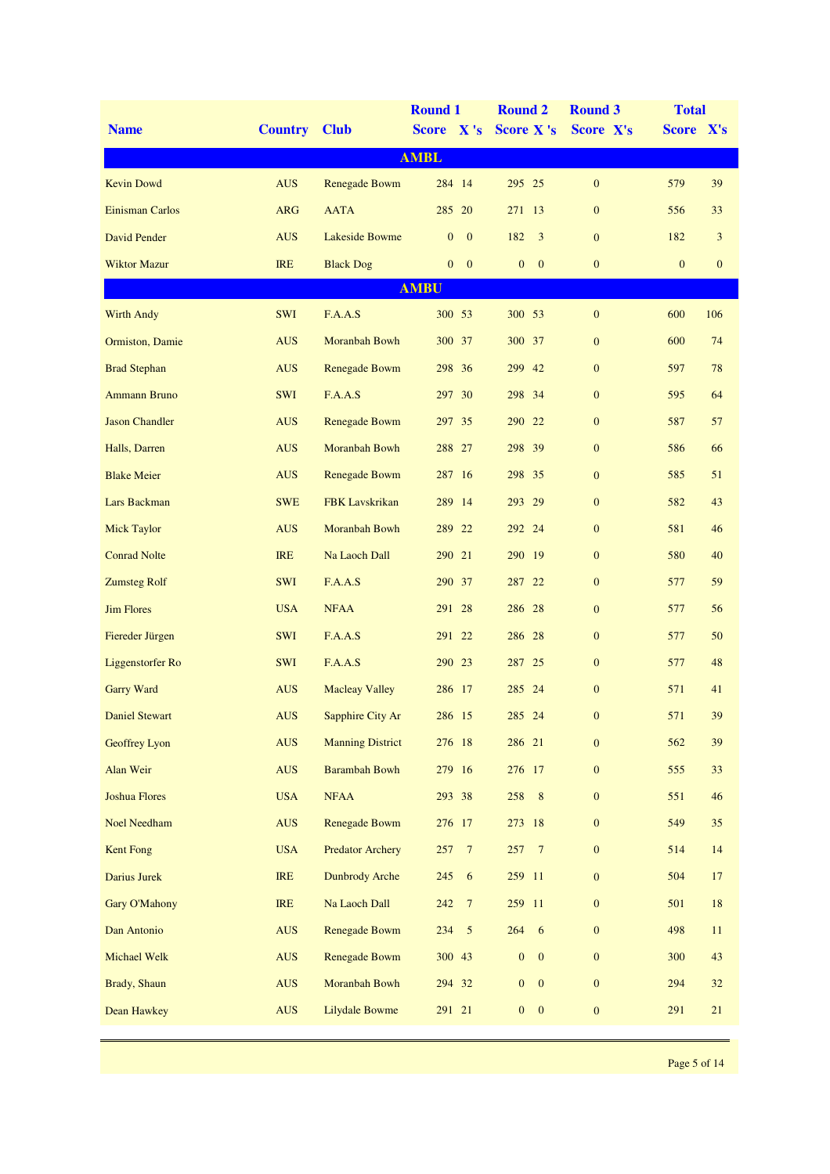|                       |                |                         | <b>Round 1</b>                 | <b>Round 2</b>                   | <b>Round 3</b>   | <b>Total</b>     |              |
|-----------------------|----------------|-------------------------|--------------------------------|----------------------------------|------------------|------------------|--------------|
| <b>Name</b>           | <b>Country</b> | <b>Club</b>             | Score X's                      | <b>Score X's</b>                 | Score X's        | Score X's        |              |
|                       |                |                         | <b>AMBL</b>                    |                                  |                  |                  |              |
| <b>Kevin Dowd</b>     | <b>AUS</b>     | Renegade Bowm           | 284 14                         | 295 25                           | $\mathbf{0}$     | 579              | 39           |
| Einisman Carlos       | <b>ARG</b>     | <b>AATA</b>             | 285 20                         | 271 13                           | $\mathbf{0}$     | 556              | 33           |
| <b>David Pender</b>   | <b>AUS</b>     | <b>Lakeside Bowme</b>   | $\overline{0}$<br>$\mathbf{0}$ | 182<br>3                         | $\mathbf{0}$     | 182              | 3            |
| <b>Wiktor Mazur</b>   | <b>IRE</b>     | <b>Black Dog</b>        | $\mathbf{0}$<br>$\overline{0}$ | $\boldsymbol{0}$<br>$\mathbf{0}$ | $\mathbf{0}$     | $\boldsymbol{0}$ | $\mathbf{0}$ |
|                       |                |                         | <b>AMBU</b>                    |                                  |                  |                  |              |
| <b>Wirth Andy</b>     | <b>SWI</b>     | F.A.A.S                 | 300 53                         | 300 53                           | $\boldsymbol{0}$ | 600              | 106          |
| Ormiston, Damie       | <b>AUS</b>     | Moranbah Bowh           | 300 37                         | 37<br>300                        | $\boldsymbol{0}$ | 600              | 74           |
| <b>Brad Stephan</b>   | <b>AUS</b>     | Renegade Bowm           | 298 36                         | 299<br>42                        | $\mathbf{0}$     | 597              | 78           |
| <b>Ammann Bruno</b>   | <b>SWI</b>     | F.A.A.S                 | 297 30                         | 298 34                           | $\mathbf{0}$     | 595              | 64           |
| <b>Jason Chandler</b> | <b>AUS</b>     | <b>Renegade Bowm</b>    | 297 35                         | 290 22                           | $\mathbf{0}$     | 587              | 57           |
| Halls, Darren         | <b>AUS</b>     | Moranbah Bowh           | 288 27                         | 298 39                           | $\mathbf{0}$     | 586              | 66           |
| <b>Blake Meier</b>    | <b>AUS</b>     | <b>Renegade Bowm</b>    | 287 16                         | 298 35                           | $\mathbf{0}$     | 585              | 51           |
| Lars Backman          | <b>SWE</b>     | <b>FBK</b> Lavskrikan   | 289 14                         | 29<br>293                        | $\mathbf{0}$     | 582              | 43           |
| <b>Mick Taylor</b>    | <b>AUS</b>     | Moranbah Bowh           | 289 22                         | 292 24                           | $\mathbf{0}$     | 581              | 46           |
| <b>Conrad Nolte</b>   | <b>IRE</b>     | Na Laoch Dall           | 290 21                         | 290 19                           | $\mathbf{0}$     | 580              | 40           |
| <b>Zumsteg Rolf</b>   | <b>SWI</b>     | F.A.A.S                 | 290 37                         | 22<br>287                        | $\mathbf{0}$     | 577              | 59           |
| <b>Jim Flores</b>     | <b>USA</b>     | <b>NFAA</b>             | 291 28                         | 286 28                           | $\mathbf{0}$     | 577              | 56           |
| Fiereder Jürgen       | <b>SWI</b>     | F.A.A.S                 | 291 22                         | 286 28                           | $\mathbf{0}$     | 577              | 50           |
| Liggenstorfer Ro      | <b>SWI</b>     | F.A.A.S                 | 290 23                         | 287 25                           | $\mathbf{0}$     | 577              | 48           |
| <b>Garry Ward</b>     | <b>AUS</b>     | <b>Macleay Valley</b>   | 286 17                         | 285 24                           | $\mathbf{0}$     | 571              | 41           |
| Daniel Stewart        | <b>AUS</b>     | Sapphire City Ar        | 286 15                         | 285 24                           | $\boldsymbol{0}$ | 571              | 39           |
| <b>Geoffrey Lyon</b>  | <b>AUS</b>     | <b>Manning District</b> | 276 18                         | 286 21                           | $\boldsymbol{0}$ | 562              | 39           |
| Alan Weir             | <b>AUS</b>     | <b>Barambah Bowh</b>    | 279 16                         | 276 17                           | $\boldsymbol{0}$ | 555              | 33           |
| <b>Joshua Flores</b>  | <b>USA</b>     | <b>NFAA</b>             | 293 38                         | 258<br>8 <sup>8</sup>            | $\mathbf{0}$     | 551              | 46           |
| <b>Noel Needham</b>   | <b>AUS</b>     | Renegade Bowm           | 276 17                         | 273 18                           | $\mathbf{0}$     | 549              | 35           |
| Kent Fong             | <b>USA</b>     | <b>Predator Archery</b> | $\overline{7}$<br>257          | 257<br>$\overline{7}$            | $\boldsymbol{0}$ | 514              | 14           |
| Darius Jurek          | IRE            | <b>Dunbrody Arche</b>   | 6<br>245                       | 259 11                           | $\mathbf{0}$     | 504              | 17           |
| <b>Gary O'Mahony</b>  | IRE            | Na Laoch Dall           | 242<br>$7\phantom{.0}$         | 259 11                           | $\mathbf{0}$     | 501              | $18\,$       |
| Dan Antonio           | <b>AUS</b>     | Renegade Bowm           | 234 5                          | 264 6                            | $\mathbf{0}$     | 498              | $11\,$       |
| Michael Welk          | <b>AUS</b>     | Renegade Bowm           | 300 43                         | $\mathbf{0}$<br>$\mathbf{0}$     | $\mathbf{0}$     | 300              | 43           |
| Brady, Shaun          | <b>AUS</b>     | Moranbah Bowh           | 294 32                         | $\boldsymbol{0}$<br>$\mathbf{0}$ | $\mathbf{0}$     | 294              | $32\,$       |
| Dean Hawkey           | <b>AUS</b>     | <b>Lilydale Bowme</b>   | 291 21                         | $\boldsymbol{0}$<br>$\mathbf{0}$ | $\boldsymbol{0}$ | 291              | 21           |
|                       |                |                         |                                |                                  |                  |                  |              |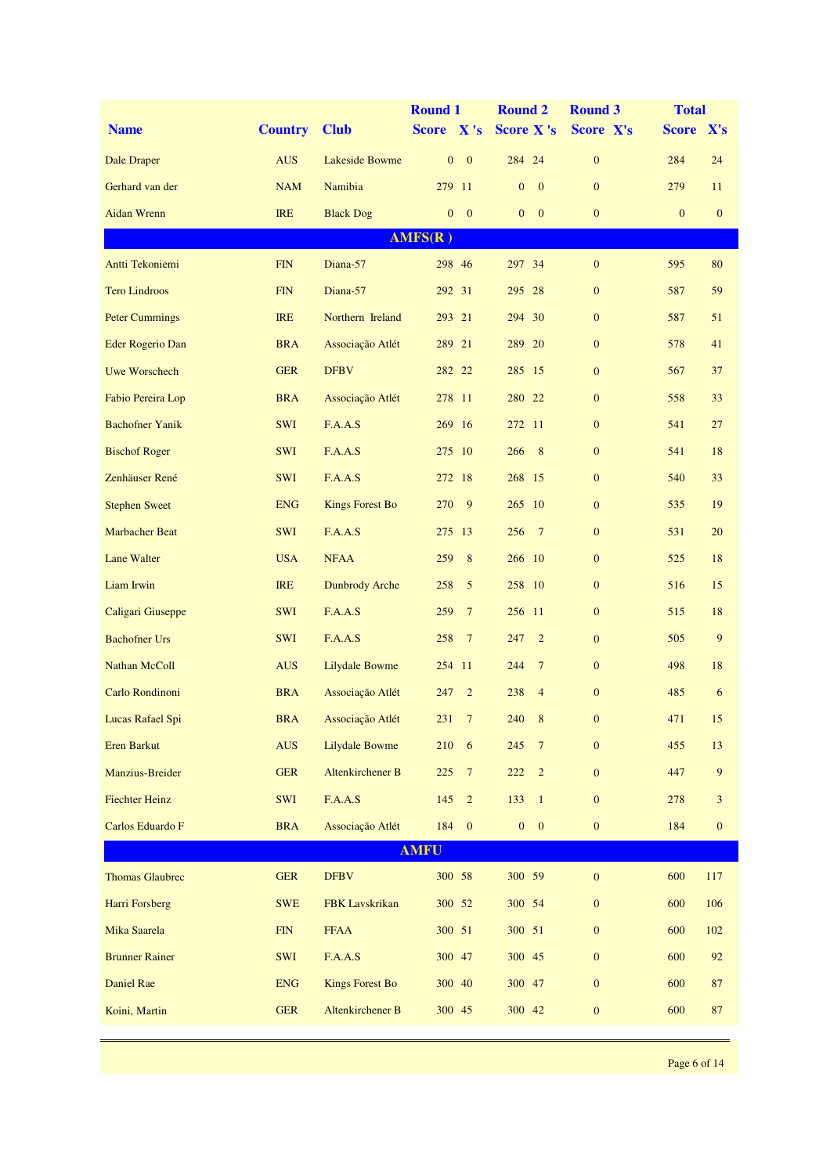|                         |                |                        | <b>Round 1</b>                 | <b>Round 2</b>                   | <b>Round 3</b>   | <b>Total</b> |              |
|-------------------------|----------------|------------------------|--------------------------------|----------------------------------|------------------|--------------|--------------|
| <b>Name</b>             | <b>Country</b> | <b>Club</b>            | Score X's                      | <b>Score X's</b>                 | Score X's        | Score X's    |              |
| Dale Draper             | <b>AUS</b>     | <b>Lakeside Bowme</b>  | $\mathbf{0}$<br>$\mathbf{0}$   | 284 24                           | $\mathbf{0}$     | 284          | 24           |
| Gerhard van der         | <b>NAM</b>     | Namibia                | 279 11                         | $\boldsymbol{0}$<br>$\mathbf{0}$ | $\mathbf{0}$     | 279          | 11           |
| <b>Aidan Wrenn</b>      | <b>IRE</b>     | <b>Black Dog</b>       | $\overline{0}$<br>$\mathbf{0}$ | $\mathbf{0}$<br>$\mathbf{0}$     | $\mathbf{0}$     | $\mathbf{0}$ | $\mathbf{0}$ |
|                         |                |                        | AMFS(R)                        |                                  |                  |              |              |
| Antti Tekoniemi         | <b>FIN</b>     | Diana-57               | 298 46                         | 297 34                           | $\mathbf{0}$     | 595          | 80           |
| <b>Tero Lindroos</b>    | <b>FIN</b>     | Diana-57               | 292 31                         | 28<br>295                        | $\boldsymbol{0}$ | 587          | 59           |
| <b>Peter Cummings</b>   | <b>IRE</b>     | Northern Ireland       | 293 21                         | 294 30                           | $\boldsymbol{0}$ | 587          | 51           |
| <b>Eder Rogerio Dan</b> | <b>BRA</b>     | Associação Atlét       | 289 21                         | 289 20                           | $\mathbf{0}$     | 578          | 41           |
| <b>Uwe Worschech</b>    | <b>GER</b>     | <b>DFBV</b>            | 282 22                         | 285 15                           | $\mathbf{0}$     | 567          | 37           |
| Fabio Pereira Lop       | <b>BRA</b>     | Associação Atlét       | 278 11                         | 280 22                           | $\mathbf{0}$     | 558          | 33           |
| <b>Bachofner Yanik</b>  | <b>SWI</b>     | F.A.A.S                | 269 16                         | 272 11                           | $\mathbf{0}$     | 541          | 27           |
| <b>Bischof Roger</b>    | <b>SWI</b>     | F.A.A.S                | 275 10                         | 266<br>8                         | $\boldsymbol{0}$ | 541          | 18           |
| Zenhäuser René          | <b>SWI</b>     | F.A.A.S                | 272 18                         | 268 15                           | $\mathbf{0}$     | 540          | 33           |
| <b>Stephen Sweet</b>    | <b>ENG</b>     | <b>Kings Forest Bo</b> | 270<br>9                       | 265 10                           | $\mathbf{0}$     | 535          | 19           |
| <b>Marbacher Beat</b>   | <b>SWI</b>     | F.A.A.S                | 275 13                         | 256<br>$\overline{7}$            | $\mathbf{0}$     | 531          | 20           |
| Lane Walter             | <b>USA</b>     | <b>NFAA</b>            | 259<br>8                       | 266 10                           | $\mathbf{0}$     | 525          | 18           |
| Liam Irwin              | <b>IRE</b>     | <b>Dunbrody Arche</b>  | 5<br>258                       | 258 10                           | $\boldsymbol{0}$ | 516          | 15           |
| Caligari Giuseppe       | <b>SWI</b>     | F.A.A.S                | $7\phantom{.0}$<br>259         | 256 11                           | $\mathbf{0}$     | 515          | 18           |
| <b>Bachofner Urs</b>    | <b>SWI</b>     | F.A.A.S                | 258<br>$7\phantom{.0}$         | 247<br>$\overline{2}$            | $\mathbf{0}$     | 505          | 9            |
| Nathan McColl           | <b>AUS</b>     | <b>Lilydale Bowme</b>  | 254 11                         | 244<br>$7\phantom{.0}$           | $\mathbf{0}$     | 498          | 18           |
| Carlo Rondinoni         | <b>BRA</b>     | Associação Atlét       | $\overline{2}$<br>247          | 238<br>$\overline{4}$            | $\mathbf{0}$     | 485          | 6            |
| Lucas Rafael Spi        | <b>BRA</b>     | Associação Atlét       | 231<br>$\tau$                  | 240<br>8                         | $\mathbf{0}$     | 471          | 15           |
| Eren Barkut             | <b>AUS</b>     | <b>Lilydale Bowme</b>  | 210<br>6                       | $7\phantom{.0}$<br>245           | $\mathbf{0}$     | 455          | 13           |
| <b>Manzius-Breider</b>  | <b>GER</b>     | Altenkirchener B       | $\overline{7}$<br>225          | 222<br>$\overline{2}$            | $\mathbf{0}$     | 447          | 9            |
| <b>Fiechter Heinz</b>   | <b>SWI</b>     | F.A.A.S                | $\sqrt{2}$<br>145              | 133<br>$\mathbf{1}$              | $\boldsymbol{0}$ | 278          | 3            |
| Carlos Eduardo F        | <b>BRA</b>     | Associação Atlét       | 184<br>$\mathbf{0}$            | $\boldsymbol{0}$<br>$\mathbf{0}$ | $\boldsymbol{0}$ | 184          | $\mathbf{0}$ |
|                         |                |                        | <b>AMFU</b>                    |                                  |                  |              |              |
| <b>Thomas Glaubrec</b>  | <b>GER</b>     | <b>DFBV</b>            | 300 58                         | 300 59                           | $\boldsymbol{0}$ | 600          | 117          |
| Harri Forsberg          | <b>SWE</b>     | FBK Lavskrikan         | 300 52                         | 300 54                           | $\boldsymbol{0}$ | 600          | 106          |
| Mika Saarela            | FIN            | <b>FFAA</b>            | 300 51                         | 300 51                           | $\boldsymbol{0}$ | 600          | 102          |
| <b>Brunner Rainer</b>   | <b>SWI</b>     | F.A.A.S                | 300 47                         | 300 45                           | $\boldsymbol{0}$ | 600          | 92           |
| Daniel Rae              | <b>ENG</b>     | <b>Kings Forest Bo</b> | 300 40                         | 300 47                           | $\boldsymbol{0}$ | 600          | 87           |
| Koini, Martin           | <b>GER</b>     | Altenkirchener B       | 300 45                         | 300 42                           | $\boldsymbol{0}$ | 600          | 87           |
|                         |                |                        |                                |                                  |                  |              |              |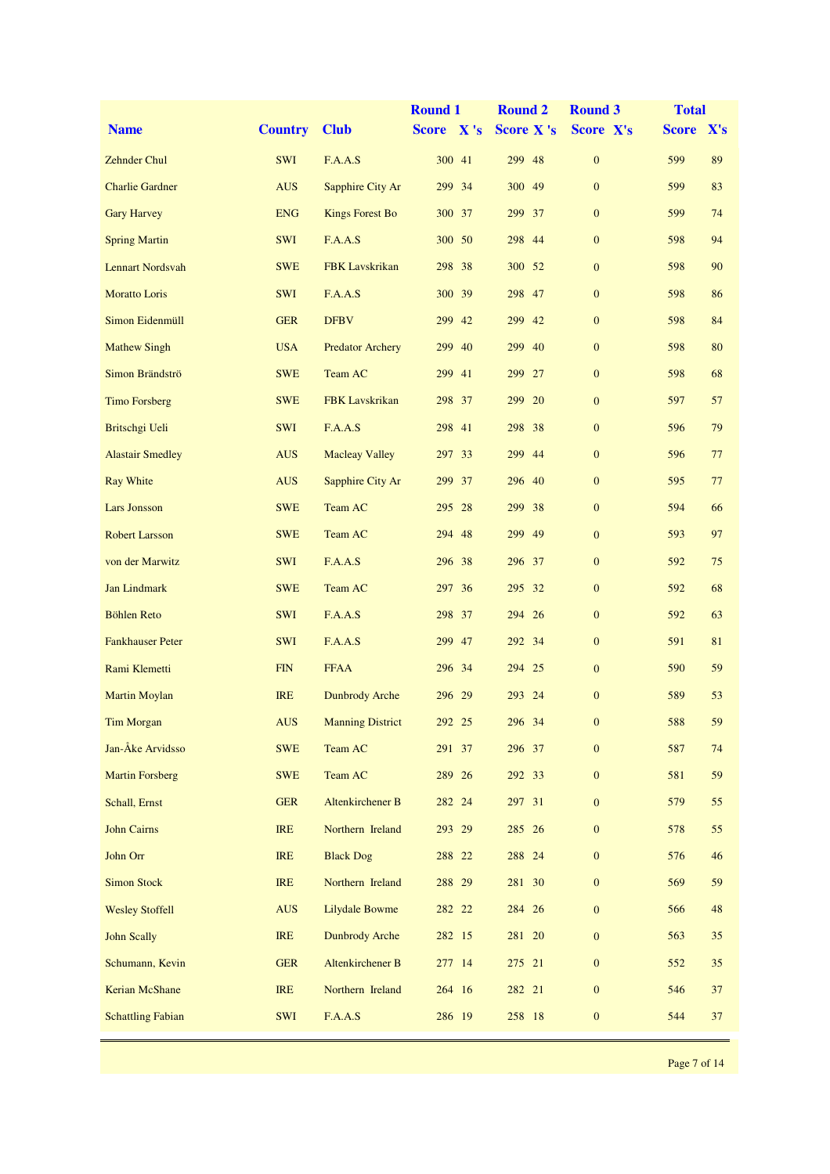|                          |                |                         | <b>Round 1</b> | <b>Round 2</b>   | <b>Round 3</b>   | <b>Total</b> |    |
|--------------------------|----------------|-------------------------|----------------|------------------|------------------|--------------|----|
| <b>Name</b>              | <b>Country</b> | <b>Club</b>             | Score X's      | <b>Score X's</b> | Score X's        | Score X's    |    |
| <b>Zehnder Chul</b>      | <b>SWI</b>     | F.A.A.S                 | 300 41         | 299<br>48        | $\boldsymbol{0}$ | 599          | 89 |
| <b>Charlie Gardner</b>   | <b>AUS</b>     | Sapphire City Ar        | 299 34         | 300 49           | $\mathbf{0}$     | 599          | 83 |
| <b>Gary Harvey</b>       | <b>ENG</b>     | <b>Kings Forest Bo</b>  | 300 37         | 299 37           | $\mathbf{0}$     | 599          | 74 |
| <b>Spring Martin</b>     | SWI            | F.A.A.S                 | 300 50         | 298 44           | $\boldsymbol{0}$ | 598          | 94 |
| <b>Lennart Nordsvah</b>  | <b>SWE</b>     | <b>FBK</b> Lavskrikan   | 298<br>38      | 300 52           | $\boldsymbol{0}$ | 598          | 90 |
| <b>Moratto Loris</b>     | <b>SWI</b>     | F.A.A.S                 | 300<br>39      | 298<br>47        | $\boldsymbol{0}$ | 598          | 86 |
| Simon Eidenmüll          | <b>GER</b>     | <b>DFBV</b>             | 299<br>42      | 299 42           | $\boldsymbol{0}$ | 598          | 84 |
| <b>Mathew Singh</b>      | <b>USA</b>     | <b>Predator Archery</b> | 299 40         | 299 40           | $\mathbf{0}$     | 598          | 80 |
| Simon Brändströ          | <b>SWE</b>     | Team AC                 | 299 41         | 299 27           | $\boldsymbol{0}$ | 598          | 68 |
| <b>Timo Forsberg</b>     | <b>SWE</b>     | <b>FBK</b> Lavskrikan   | 298 37         | 299 20           | $\boldsymbol{0}$ | 597          | 57 |
| Britschgi Ueli           | <b>SWI</b>     | F.A.A.S                 | 298 41         | 38<br>298        | $\boldsymbol{0}$ | 596          | 79 |
| <b>Alastair Smedley</b>  | <b>AUS</b>     | <b>Macleay Valley</b>   | 297<br>33      | 299<br>-44       | $\boldsymbol{0}$ | 596          | 77 |
| <b>Ray White</b>         | <b>AUS</b>     | Sapphire City Ar        | 299 37         | 296 40           | $\mathbf{0}$     | 595          | 77 |
| <b>Lars Jonsson</b>      | <b>SWE</b>     | Team AC                 | 295 28         | 299 38           | $\boldsymbol{0}$ | 594          | 66 |
| <b>Robert Larsson</b>    | <b>SWE</b>     | Team AC                 | 294 48         | 299 49           | $\boldsymbol{0}$ | 593          | 97 |
| von der Marwitz          | <b>SWI</b>     | F.A.A.S                 | 296 38         | 296<br>37        | $\boldsymbol{0}$ | 592          | 75 |
| <b>Jan Lindmark</b>      | <b>SWE</b>     | Team AC                 | 36<br>297      | 295 32           | $\boldsymbol{0}$ | 592          | 68 |
| <b>Böhlen Reto</b>       | <b>SWI</b>     | F.A.A.S                 | 298 37         | 294 26           | $\mathbf{0}$     | 592          | 63 |
| <b>Fankhauser Peter</b>  | <b>SWI</b>     | F.A.A.S                 | 299 47         | 292 34           | $\boldsymbol{0}$ | 591          | 81 |
| Rami Klemetti            | FIN            | <b>FFAA</b>             | 34<br>296      | 294 25           | $\boldsymbol{0}$ | 590          | 59 |
| <b>Martin Moylan</b>     | <b>IRE</b>     | <b>Dunbrody Arche</b>   | 296 29         | 293 24           | $\mathbf{0}$     | 589          | 53 |
| Tim Morgan               | <b>AUS</b>     | <b>Manning District</b> | 292 25         | 296 34           | $\mathbf{0}$     | 588          | 59 |
| Jan-Åke Arvidsso         | <b>SWE</b>     | Team AC                 | 291 37         | 296 37           | $\boldsymbol{0}$ | 587          | 74 |
| <b>Martin Forsberg</b>   | <b>SWE</b>     | Team AC                 | 289 26         | 292 33           | $\boldsymbol{0}$ | 581          | 59 |
| Schall, Ernst            | <b>GER</b>     | <b>Altenkirchener B</b> | 282 24         | 297 31           | $\boldsymbol{0}$ | 579          | 55 |
| <b>John Cairns</b>       | IRE            | Northern Ireland        | 293 29         | 285 26           | $\boldsymbol{0}$ | 578          | 55 |
| John Orr                 | <b>IRE</b>     | <b>Black Dog</b>        | 288 22         | 288 24           | $\boldsymbol{0}$ | 576          | 46 |
| <b>Simon Stock</b>       | <b>IRE</b>     | Northern Ireland        | 288 29         | 281 30           | $\boldsymbol{0}$ | 569          | 59 |
| <b>Wesley Stoffell</b>   | <b>AUS</b>     | Lilydale Bowme          | 282 22         | 284 26           | $\boldsymbol{0}$ | 566          | 48 |
| <b>John Scally</b>       | <b>IRE</b>     | <b>Dunbrody Arche</b>   | 282 15         | 281 20           | $\boldsymbol{0}$ | 563          | 35 |
| Schumann, Kevin          | <b>GER</b>     | <b>Altenkirchener B</b> | 277 14         | 275 21           | $\boldsymbol{0}$ | 552          | 35 |
| Kerian McShane           | <b>IRE</b>     | Northern Ireland        | 264 16         | 282 21           | $\boldsymbol{0}$ | 546          | 37 |
| <b>Schattling Fabian</b> | SWI            | F.A.A.S                 | 286 19         | 258 18           | $\boldsymbol{0}$ | 544          | 37 |
|                          |                |                         |                |                  |                  |              |    |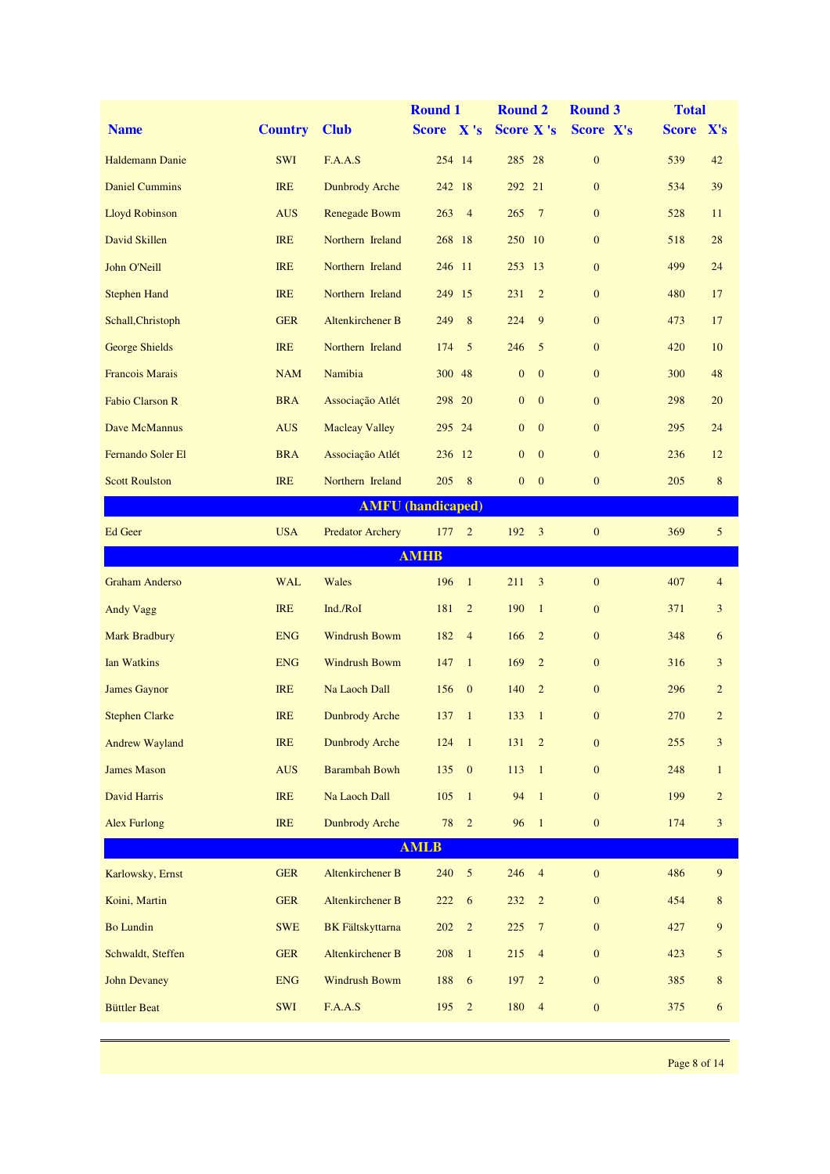|                        |                |                            | <b>Round 1</b>           | <b>Round 2</b>                            | <b>Round 3</b>   | <b>Total</b> |                |
|------------------------|----------------|----------------------------|--------------------------|-------------------------------------------|------------------|--------------|----------------|
| <b>Name</b>            | <b>Country</b> | <b>Club</b>                | Score X's                | <b>Score X's</b>                          | Score X's        | Score X's    |                |
| <b>Haldemann Danie</b> | <b>SWI</b>     | F.A.A.S                    | 254 14                   | 285 28                                    | $\boldsymbol{0}$ | 539          | 42             |
| <b>Daniel Cummins</b>  | <b>IRE</b>     | <b>Dunbrody Arche</b>      | 242 18                   | 292 21                                    | $\mathbf{0}$     | 534          | 39             |
| <b>Lloyd Robinson</b>  | <b>AUS</b>     | <b>Renegade Bowm</b>       | $\overline{4}$<br>263    | 265<br>$\overline{7}$                     | $\mathbf{0}$     | 528          | 11             |
| David Skillen          | <b>IRE</b>     | Northern Ireland           | 268 18                   | 250<br><sup>10</sup>                      | $\boldsymbol{0}$ | 518          | 28             |
| John O'Neill           | <b>IRE</b>     | Northern Ireland           | 246 11                   | 253 13                                    | $\mathbf{0}$     | 499          | 24             |
| <b>Stephen Hand</b>    | <b>IRE</b>     | Northern Ireland           | 249<br>15                | $\overline{2}$<br>231                     | $\mathbf{0}$     | 480          | 17             |
| Schall, Christoph      | <b>GER</b>     | <b>Altenkirchener B</b>    | 8<br>249                 | 224<br>9                                  | $\mathbf{0}$     | 473          | 17             |
| George Shields         | <b>IRE</b>     | Northern Ireland           | 5<br>174                 | 246<br>5                                  | $\mathbf{0}$     | 420          | 10             |
| <b>Francois Marais</b> | <b>NAM</b>     | Namibia                    | 300 48                   | $\boldsymbol{0}$<br>$\mathbf{0}$          | $\boldsymbol{0}$ | 300          | 48             |
| <b>Fabio Clarson R</b> | <b>BRA</b>     | Associação Atlét           | 298 20                   | $\boldsymbol{0}$<br>$\mathbf{0}$          | $\mathbf{0}$     | 298          | 20             |
| Dave McMannus          | <b>AUS</b>     | <b>Macleay Valley</b>      | 295 24                   | $\mathbf{0}$<br>$\mathbf{0}$              | $\mathbf{0}$     | 295          | 24             |
| Fernando Soler El      | <b>BRA</b>     | Associação Atlét           | 236 12                   | $\boldsymbol{0}$<br>$\mathbf{0}$          | $\mathbf{0}$     | 236          | 12             |
| <b>Scott Roulston</b>  | <b>IRE</b>     | Northern Ireland           | 8<br>205                 | $\overline{0}$<br>$\overline{\mathbf{0}}$ | $\boldsymbol{0}$ | 205          | $\bf 8$        |
|                        |                |                            | <b>AMFU</b> (handicaped) |                                           |                  |              |                |
| Ed Geer                | <b>USA</b>     | <b>Predator Archery</b>    | 177<br>$\overline{2}$    | 192<br>$\overline{\mathbf{3}}$            | $\boldsymbol{0}$ | 369          | 5              |
|                        |                |                            | <b>AMHB</b>              |                                           |                  |              |                |
| <b>Graham Anderso</b>  | <b>WAL</b>     | Wales                      | 196<br>$\mathbf{1}$      | 211<br>3                                  | $\boldsymbol{0}$ | 407          | $\overline{4}$ |
| <b>Andy Vagg</b>       | <b>IRE</b>     | Ind./RoI                   | $\overline{2}$<br>181    | 190<br>$\mathbf{1}$                       | $\mathbf{0}$     | 371          | 3              |
| <b>Mark Bradbury</b>   | <b>ENG</b>     | <b>Windrush Bowm</b>       | 182<br>$\overline{4}$    | 166<br>$\overline{2}$                     | $\mathbf{0}$     | 348          | 6              |
| <b>Ian Watkins</b>     | <b>ENG</b>     | <b>Windrush Bowm</b>       | 147<br>$\mathbf{1}$      | 169<br>$\overline{2}$                     | $\mathbf{0}$     | 316          | 3              |
| <b>James Gaynor</b>    | <b>IRE</b>     | Na Laoch Dall              | 156<br>$\mathbf{0}$      | 140<br>$\overline{2}$                     | $\mathbf{0}$     | 296          | $\overline{c}$ |
| <b>Stephen Clarke</b>  | <b>IRE</b>     | <b>Dunbrody Arche</b>      | $\mathbf{1}$<br>137      | $\mathbf{1}$<br>133                       | $\boldsymbol{0}$ | 270          | $\overline{c}$ |
| <b>Andrew Wayland</b>  | IRE            | <b>Dunbrody Arche</b>      | 124<br>$\overline{1}$    | 131<br>$\sqrt{2}$                         | $\boldsymbol{0}$ | 255          | 3              |
| <b>James Mason</b>     | <b>AUS</b>     | <b>Barambah Bowh</b>       | $\boldsymbol{0}$<br>135  | 113<br>$\overline{1}$                     | $\boldsymbol{0}$ | 248          | $\mathbf{1}$   |
| David Harris           | IRE            | Na Laoch Dall              | 105<br>$\mathbf{1}$      | 94<br>$\overline{1}$                      | $\boldsymbol{0}$ | 199          | $\overline{c}$ |
| <b>Alex Furlong</b>    | <b>IRE</b>     | <b>Dunbrody Arche</b>      | 78<br>$\overline{c}$     | 96<br>$\overline{1}$                      | $\boldsymbol{0}$ | 174          | $\overline{3}$ |
|                        |                |                            | <b>AMLB</b>              |                                           |                  |              |                |
| Karlowsky, Ernst       | <b>GER</b>     | Altenkirchener B           | $\sqrt{5}$<br>240        | 246<br>$\overline{4}$                     | $\boldsymbol{0}$ | 486          | 9              |
| Koini, Martin          | <b>GER</b>     | Altenkirchener B           | 222<br>6                 | 232<br>$\sqrt{2}$                         | $\boldsymbol{0}$ | 454          | $\bf 8$        |
| <b>Bo Lundin</b>       | <b>SWE</b>     | <b>BK</b> Fältskyttarna    | $\sqrt{2}$<br>202        | $225\,$<br>$\overline{7}$                 | $\boldsymbol{0}$ | 427          | 9              |
| Schwaldt, Steffen      | <b>GER</b>     | <b>Altenkirchener B</b>    | $\mathbf{1}$<br>208      | $\overline{4}$<br>215                     | $\boldsymbol{0}$ | 423          | $\mathfrak{S}$ |
| <b>John Devaney</b>    | <b>ENG</b>     | <b>Windrush Bowm</b>       | $\sqrt{6}$<br>188        | 197<br>$\overline{2}$                     | $\boldsymbol{0}$ | 385          | $8\,$          |
| <b>Büttler Beat</b>    | SWI            | $\mathcal{F}\text{.A.A.S}$ | 195<br>$\sqrt{2}$        | 180<br>$\overline{4}$                     | $\mathbf{0}$     | 375          | 6              |
|                        |                |                            |                          |                                           |                  |              |                |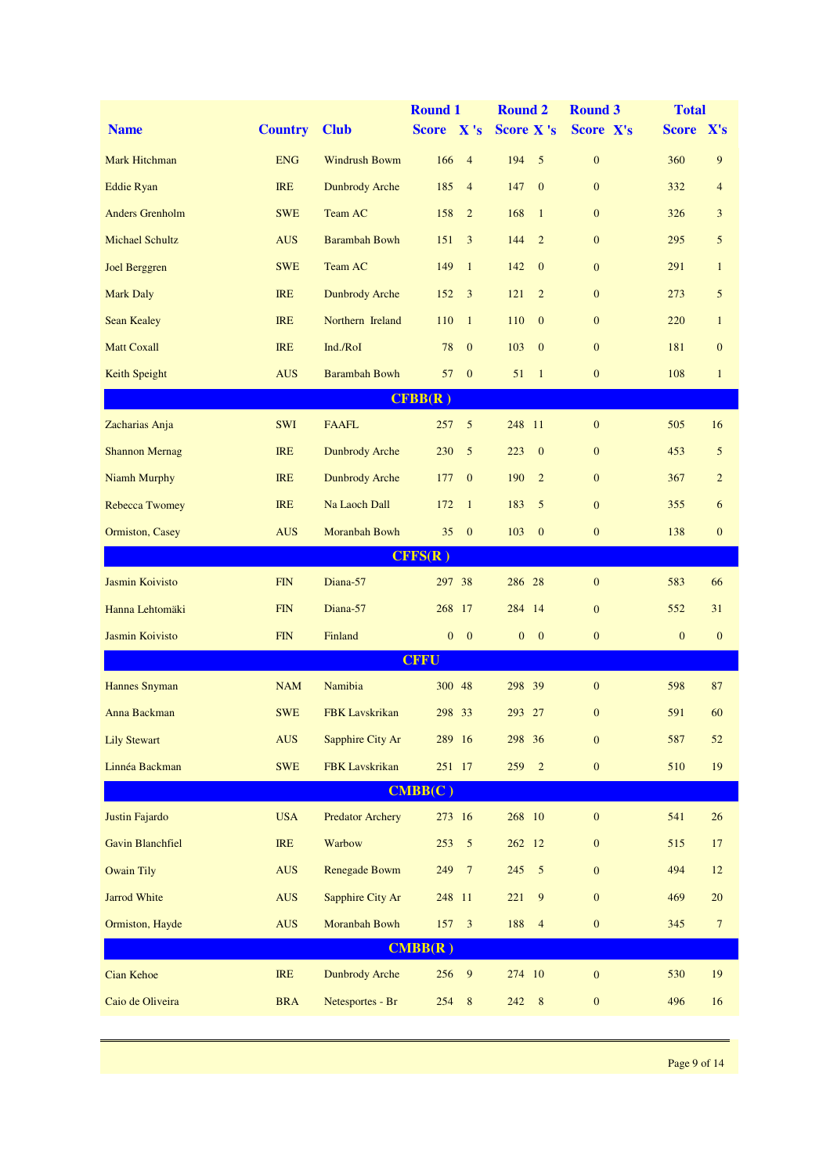|                         |                |                         | <b>Round 1</b>                       | <b>Round 2</b>                   | <b>Round 3</b>   | <b>Total</b>                 |
|-------------------------|----------------|-------------------------|--------------------------------------|----------------------------------|------------------|------------------------------|
| <b>Name</b>             | <b>Country</b> | <b>Club</b>             | Score X's                            | <b>Score X's</b>                 | Score X's        | Score X's                    |
| <b>Mark Hitchman</b>    | <b>ENG</b>     | <b>Windrush Bowm</b>    | 166<br>$\overline{4}$                | 194<br>5                         | $\boldsymbol{0}$ | 9<br>360                     |
| <b>Eddie Ryan</b>       | <b>IRE</b>     | <b>Dunbrody Arche</b>   | 185<br>$\overline{4}$                | 147<br>$\mathbf{0}$              | $\mathbf{0}$     | 332<br>$\overline{4}$        |
| <b>Anders Grenholm</b>  | <b>SWE</b>     | Team AC                 | 158<br>$\overline{2}$                | 168<br>$\mathbf{1}$              | $\mathbf{0}$     | 326<br>3                     |
| <b>Michael Schultz</b>  | <b>AUS</b>     | <b>Barambah Bowh</b>    | 151<br>3                             | 144<br>2                         | $\mathbf{0}$     | 295<br>5                     |
| Joel Berggren           | <b>SWE</b>     | Team AC                 | 149<br>$\mathbf{1}$                  | 142<br>$\mathbf{0}$              | $\mathbf{0}$     | 291<br>$\mathbf{1}$          |
| <b>Mark Daly</b>        | <b>IRE</b>     | <b>Dunbrody Arche</b>   | 3<br>152                             | 121<br>$\overline{2}$            | $\mathbf{0}$     | 273<br>5                     |
| <b>Sean Kealey</b>      | <b>IRE</b>     | Northern Ireland        | 110<br>$\mathbf{1}$                  | 110<br>$\mathbf{0}$              | $\mathbf{0}$     | 220<br>$\mathbf{1}$          |
| <b>Matt Coxall</b>      | <b>IRE</b>     | Ind./RoI                | 78<br>$\mathbf{0}$                   | 103<br>$\mathbf{0}$              | $\mathbf{0}$     | 181<br>$\mathbf{0}$          |
| Keith Speight           | <b>AUS</b>     | <b>Barambah Bowh</b>    | $\mathbf{0}$<br>57                   | 51<br>$\mathbf{1}$               | $\boldsymbol{0}$ | 108<br>$\mathbf{1}$          |
|                         |                |                         | CFBB(R)                              |                                  |                  |                              |
| Zacharias Anja          | <b>SWI</b>     | <b>FAAFL</b>            | 5<br>257                             | 248 11                           | $\mathbf{0}$     | 505<br>16                    |
| <b>Shannon Mernag</b>   | <b>IRE</b>     | <b>Dunbrody Arche</b>   | 230<br>5                             | 223<br>$\mathbf{0}$              | $\boldsymbol{0}$ | 453<br>5                     |
| <b>Niamh Murphy</b>     | <b>IRE</b>     | <b>Dunbrody Arche</b>   | $\mathbf{0}$<br>177                  | 190<br>$\overline{2}$            | $\mathbf{0}$     | 367<br>$\overline{c}$        |
| <b>Rebecca Twomey</b>   | <b>IRE</b>     | Na Laoch Dall           | 172<br>$\mathbf{1}$                  | 183<br>5                         | $\mathbf{0}$     | 355<br>6                     |
| Ormiston, Casey         | <b>AUS</b>     | Moranbah Bowh           | $\mathbf{0}$<br>35                   | 103<br>$\mathbf{0}$              | $\mathbf{0}$     | 138<br>$\boldsymbol{0}$      |
|                         |                |                         | CFFS(R)                              |                                  |                  |                              |
| Jasmin Koivisto         | FIN            | Diana-57                | 297 38                               | 286 28                           | $\boldsymbol{0}$ | 583<br>66                    |
| Hanna Lehtomäki         | <b>FIN</b>     | Diana-57                | 268 17                               | 284 14                           | $\mathbf{0}$     | 552<br>31                    |
| Jasmin Koivisto         | <b>FIN</b>     | Finland                 | $\mathbf{0}$<br>$\mathbf{0}$         | $\boldsymbol{0}$<br>$\mathbf{0}$ | $\mathbf{0}$     | $\mathbf{0}$<br>$\mathbf{0}$ |
|                         |                |                         | <b>CFFU</b>                          |                                  |                  |                              |
| <b>Hannes Snyman</b>    | <b>NAM</b>     | Namibia                 | 300 48                               | 298 39                           | $\boldsymbol{0}$ | 598<br>87                    |
| Anna Backman            | <b>SWE</b>     | <b>FBK</b> Lavskrikan   | 298 33                               | 293 27                           | $\mathbf{0}$     | 591<br>60                    |
| <b>Lily Stewart</b>     | <b>AUS</b>     | Sapphire City Ar        | 289 16                               | 298 36                           | $\boldsymbol{0}$ | 587<br>$52\,$                |
| Linnéa Backman          | <b>SWE</b>     | <b>FBK</b> Lavskrikan   | 251 17                               | 259<br>$\overline{2}$            | $\boldsymbol{0}$ | 510<br>$19\,$                |
|                         |                |                         | CMBB(C)                              |                                  |                  |                              |
| Justin Fajardo          | <b>USA</b>     | <b>Predator Archery</b> | 273 16                               | 268 10                           | $\boldsymbol{0}$ | 541<br>26                    |
| <b>Gavin Blanchfiel</b> | <b>IRE</b>     | Warbow                  | $\sqrt{5}$<br>253                    | 262 12                           | $\mathbf{0}$     | 515<br>17                    |
| <b>Owain Tily</b>       | <b>AUS</b>     | Renegade Bowm           | 249<br>$\overline{7}$                | 245<br>5                         | $\mathbf{0}$     | 494<br>12                    |
| Jarrod White            | <b>AUS</b>     | Sapphire City Ar        | 248 11                               | 221<br>9                         | $\boldsymbol{0}$ | 469<br>$20\,$                |
| Ormiston, Hayde         | <b>AUS</b>     | Moranbah Bowh           | 157 3                                | 188<br>$\overline{4}$            | $\boldsymbol{0}$ | 345<br>$\overline{7}$        |
|                         |                |                         | $\overline{\text{CMBB}(\textbf{R})}$ |                                  |                  |                              |
| Cian Kehoe              | IRE            | <b>Dunbrody Arche</b>   | 256 9                                | 274 10                           | $\boldsymbol{0}$ | 19<br>530                    |
| Caio de Oliveira        | <b>BRA</b>     | Netesportes - Br        | 254<br>$\, 8$                        | 242<br>$8\phantom{.0}$           | $\boldsymbol{0}$ | 496<br>16                    |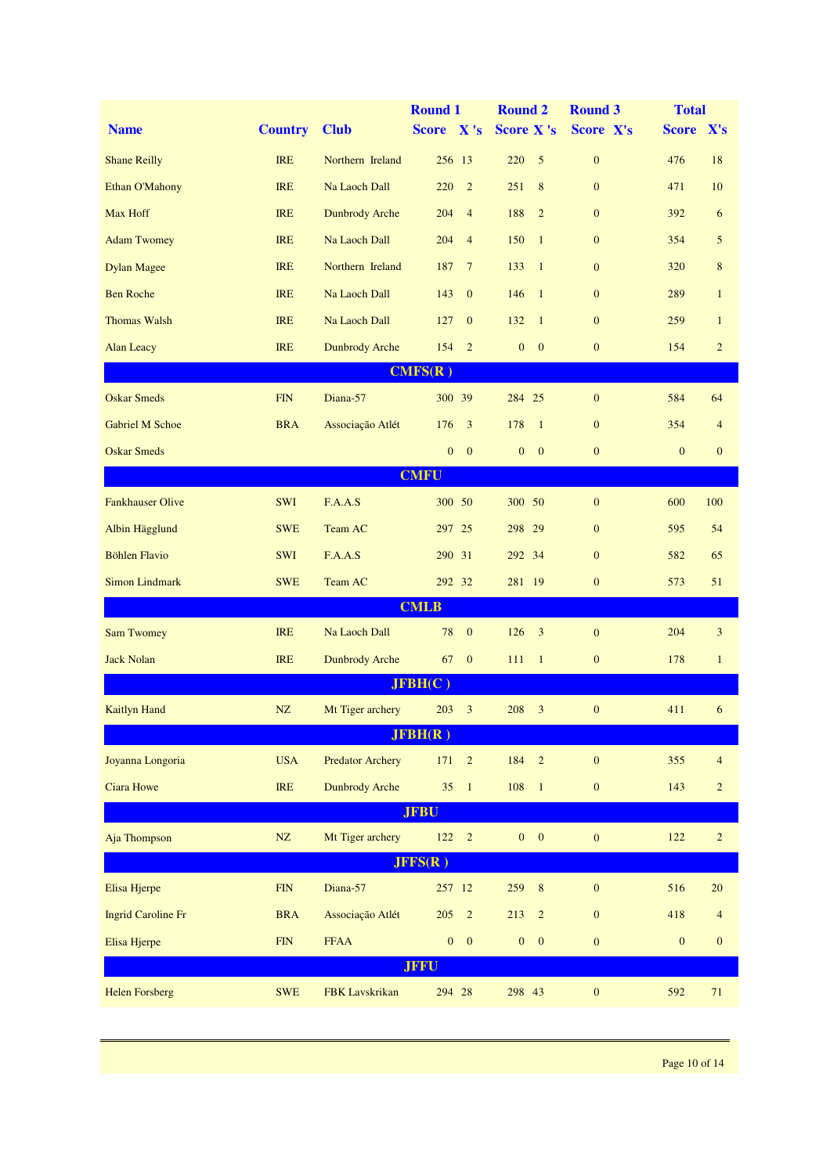|                           |                         |                         | <b>Round 1</b>               | <b>Round 2</b>                   | <b>Round 3</b>   | <b>Total</b>     |                  |
|---------------------------|-------------------------|-------------------------|------------------------------|----------------------------------|------------------|------------------|------------------|
| <b>Name</b>               | <b>Country</b>          | <b>Club</b>             | Score X's                    | <b>Score X's</b>                 | Score X's        | Score X's        |                  |
| <b>Shane Reilly</b>       | <b>IRE</b>              | Northern Ireland        | 256 13                       | 220<br>5                         | $\mathbf{0}$     | 476              | 18               |
| Ethan O'Mahony            | <b>IRE</b>              | Na Laoch Dall           | 220<br>$\overline{2}$        | 251<br>8                         | $\mathbf{0}$     | 471              | 10               |
| Max Hoff                  | <b>IRE</b>              | <b>Dunbrody Arche</b>   | $\overline{4}$<br>204        | 188<br>$\overline{2}$            | $\mathbf{0}$     | 392              | 6                |
| <b>Adam Twomey</b>        | <b>IRE</b>              | Na Laoch Dall           | $\overline{4}$<br>204        | 150<br>$\mathbf{1}$              | $\mathbf{0}$     | 354              | 5                |
| <b>Dylan Magee</b>        | <b>IRE</b>              | Northern Ireland        | $7\phantom{.0}$<br>187       | 133<br>$\mathbf{1}$              | $\mathbf{0}$     | 320              | $8\,$            |
| <b>Ben Roche</b>          | <b>IRE</b>              | Na Laoch Dall           | 143<br>$\mathbf{0}$          | 146<br>$\overline{1}$            | $\mathbf{0}$     | 289              | $\mathbf{1}$     |
| <b>Thomas Walsh</b>       | <b>IRE</b>              | Na Laoch Dall           | 127<br>$\mathbf{0}$          | 132<br>$\mathbf{1}$              | $\mathbf{0}$     | 259              | $\mathbf{1}$     |
| <b>Alan Leacy</b>         | <b>IRE</b>              | <b>Dunbrody Arche</b>   | 154<br>$\overline{2}$        | $\boldsymbol{0}$<br>$\mathbf{0}$ | $\mathbf{0}$     | 154              | $\sqrt{2}$       |
|                           |                         |                         | CMFS(R)                      |                                  |                  |                  |                  |
| <b>Oskar Smeds</b>        | <b>FIN</b>              | Diana-57                | 300 39                       | 284 25                           | $\mathbf{0}$     | 584              | 64               |
| <b>Gabriel M Schoe</b>    | <b>BRA</b>              | Associação Atlét        | 3<br>176                     | 178<br>$\overline{1}$            | $\mathbf{0}$     | 354              | $\overline{4}$   |
| <b>Oskar Smeds</b>        |                         |                         | $\mathbf{0}$<br>$\mathbf{0}$ | $\mathbf{0}$<br>$\mathbf{0}$     | $\mathbf{0}$     | $\mathbf{0}$     | $\mathbf{0}$     |
|                           |                         |                         | <b>CMFU</b>                  |                                  |                  |                  |                  |
| <b>Fankhauser Olive</b>   | <b>SWI</b>              | F.A.A.S                 | 300 50                       | 300 50                           | $\mathbf{0}$     | 600              | 100              |
| Albin Hägglund            | <b>SWE</b>              | Team AC                 | 297 25                       | 298 29                           | $\mathbf{0}$     | 595              | 54               |
| <b>Böhlen Flavio</b>      | <b>SWI</b>              | F.A.A.S                 | 290 31                       | 292 34                           | $\mathbf{0}$     | 582              | 65               |
| <b>Simon Lindmark</b>     | <b>SWE</b>              | Team AC                 | 292 32                       | 281 19                           | $\mathbf{0}$     | 573              | 51               |
|                           |                         |                         | <b>CMLB</b>                  |                                  |                  |                  |                  |
| <b>Sam Twomey</b>         | <b>IRE</b>              | Na Laoch Dall           | $\mathbf{0}$<br>78           | 126<br>3                         | $\mathbf{0}$     | 204              | $\mathfrak{Z}$   |
| <b>Jack Nolan</b>         | <b>IRE</b>              | <b>Dunbrody Arche</b>   | $\mathbf{0}$<br>67           | 111<br>$\mathbf{1}$              | $\boldsymbol{0}$ | 178              | $\mathbf{1}$     |
|                           |                         |                         | JFBH(C)                      |                                  |                  |                  |                  |
| <b>Kaitlyn Hand</b>       | NZ                      | Mt Tiger archery        | 203<br>$\mathfrak{Z}$        | 208<br>3                         | $\mathbf{0}$     | 411              | 6                |
|                           |                         |                         | JFBH(R)                      |                                  |                  |                  |                  |
| Joyanna Longoria          | <b>USA</b>              | <b>Predator Archery</b> | 171<br>$\sqrt{2}$            | 184<br>$\overline{2}$            | $\boldsymbol{0}$ | 355              | $\overline{4}$   |
| <b>Ciara Howe</b>         | IRE                     | <b>Dunbrody Arche</b>   | $35 \quad 1$<br><b>JFBU</b>  | 108<br>$\overline{1}$            | $\mathbf{0}$     | 143              | $\overline{c}$   |
| Aja Thompson              | NZ                      | Mt Tiger archery        | $122 \t 2$                   | $0 \quad 0$                      | $\boldsymbol{0}$ | 122              | $\overline{c}$   |
|                           |                         |                         | JFFS(R)                      |                                  |                  |                  |                  |
| Elisa Hjerpe              | $\overline{\text{FIN}}$ | Diana-57                | 257 12                       | 259<br>$\, 8$                    | $\boldsymbol{0}$ | 516              | $20\,$           |
| <b>Ingrid Caroline Fr</b> | <b>BRA</b>              | Associação Atlét        | 205<br>$\sqrt{2}$            | 213<br>$\overline{2}$            | $\boldsymbol{0}$ | 418              | $\overline{4}$   |
| Elisa Hjerpe              | $\overline{\text{FIN}}$ | <b>FFAA</b>             | $0 \quad 0$                  | $\boldsymbol{0}$<br>$\mathbf{0}$ | $\boldsymbol{0}$ | $\boldsymbol{0}$ | $\boldsymbol{0}$ |
|                           |                         |                         | <b>JFFU</b>                  |                                  |                  |                  |                  |
| <b>Helen Forsberg</b>     | <b>SWE</b>              | FBK Lavskrikan          | 294 28                       | 298 43                           | $\boldsymbol{0}$ | 592              | 71               |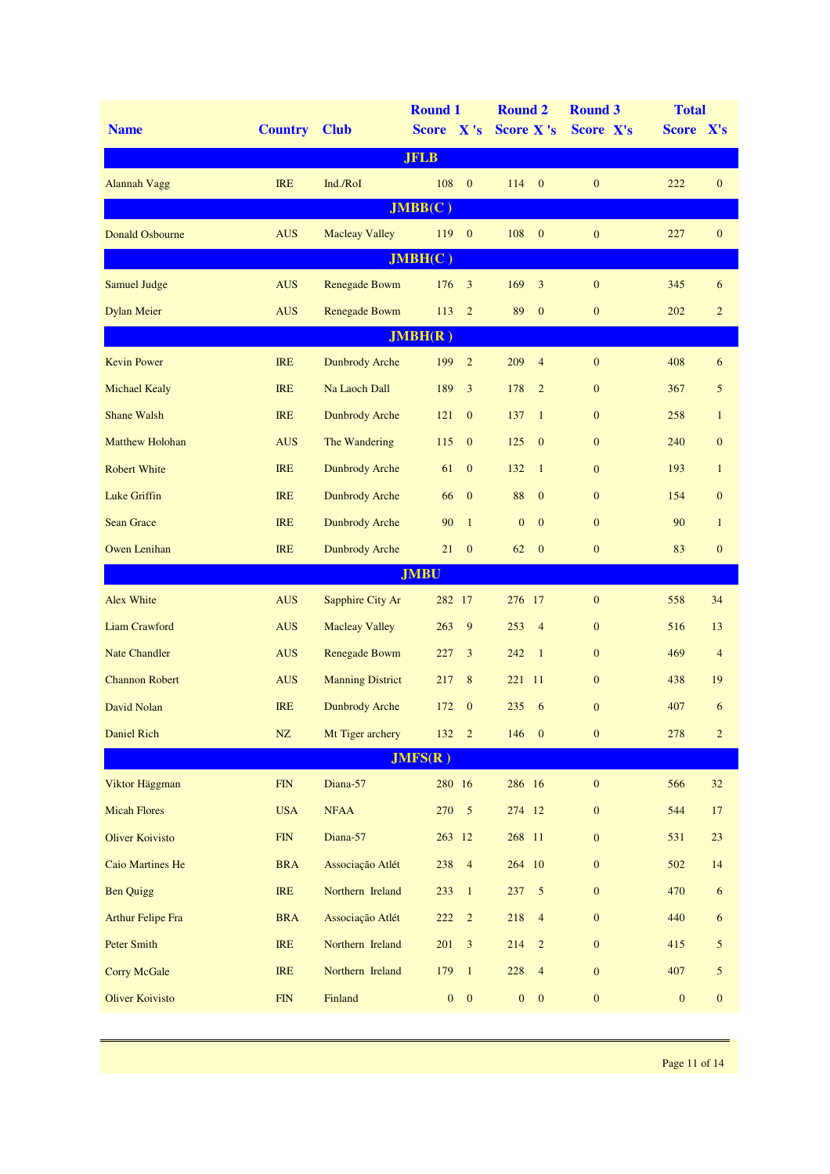| <b>Name</b>              | <b>Country</b>          | <b>Club</b>             | <b>Round 1</b><br>Score X's |                  | <b>Round 2</b><br><b>Score X's</b> |                  | <b>Round 3</b><br>Score X's | <b>Total</b><br>Score X's |                  |
|--------------------------|-------------------------|-------------------------|-----------------------------|------------------|------------------------------------|------------------|-----------------------------|---------------------------|------------------|
|                          |                         |                         | <b>JFLB</b>                 |                  |                                    |                  |                             |                           |                  |
|                          | <b>IRE</b>              | Ind./RoI                | 108                         | $\mathbf{0}$     | 114                                | $\mathbf{0}$     | $\mathbf{0}$                | 222                       | $\mathbf{0}$     |
| <b>Alannah Vagg</b>      |                         |                         | JMBB(C)                     |                  |                                    |                  |                             |                           |                  |
| <b>Donald Osbourne</b>   | <b>AUS</b>              | <b>Macleay Valley</b>   | 119                         | $\mathbf{0}$     | 108                                | $\mathbf{0}$     | $\mathbf{0}$                | 227                       | $\mathbf{0}$     |
|                          |                         |                         | JMBH(C)                     |                  |                                    |                  |                             |                           |                  |
| <b>Samuel Judge</b>      | <b>AUS</b>              | <b>Renegade Bowm</b>    | 176                         | $\mathfrak{Z}$   | 169                                | 3                | $\boldsymbol{0}$            | 345                       | 6                |
| <b>Dylan Meier</b>       | <b>AUS</b>              | Renegade Bowm           | 113                         | $\overline{2}$   | 89                                 | $\mathbf{0}$     | $\mathbf{0}$                | 202                       | $\overline{c}$   |
|                          |                         |                         | JMBH(R)                     |                  |                                    |                  |                             |                           |                  |
| <b>Kevin Power</b>       | <b>IRE</b>              | <b>Dunbrody Arche</b>   | 199                         | $\overline{2}$   | 209                                | $\overline{4}$   | $\mathbf{0}$                | 408                       | 6                |
| <b>Michael Kealy</b>     | <b>IRE</b>              | Na Laoch Dall           | 189                         | 3                | 178                                | $\overline{2}$   | $\mathbf{0}$                | 367                       | 5                |
| <b>Shane Walsh</b>       | <b>IRE</b>              | <b>Dunbrody Arche</b>   | 121                         | $\mathbf{0}$     | 137                                | $\mathbf{1}$     | $\mathbf{0}$                | 258                       | $\mathbf{1}$     |
| <b>Matthew Holohan</b>   | <b>AUS</b>              | The Wandering           | 115                         | $\mathbf{0}$     | 125                                | $\mathbf{0}$     | $\mathbf{0}$                | 240                       | $\mathbf{0}$     |
| <b>Robert White</b>      | <b>IRE</b>              | <b>Dunbrody Arche</b>   | 61                          | $\mathbf{0}$     | 132                                | $\mathbf{1}$     | $\mathbf{0}$                | 193                       | $\mathbf{1}$     |
| <b>Luke Griffin</b>      | <b>IRE</b>              | <b>Dunbrody Arche</b>   | 66                          | $\mathbf{0}$     | 88                                 | $\mathbf{0}$     | $\mathbf{0}$                | 154                       | $\mathbf{0}$     |
| <b>Sean Grace</b>        | <b>IRE</b>              | <b>Dunbrody Arche</b>   | 90                          | $\mathbf{1}$     | $\mathbf{0}$                       | $\mathbf{0}$     | $\mathbf{0}$                | 90                        | $\mathbf{1}$     |
| <b>Owen Lenihan</b>      | <b>IRE</b>              | <b>Dunbrody Arche</b>   | 21                          | $\mathbf{0}$     | 62                                 | $\mathbf{0}$     | $\mathbf{0}$                | 83                        | $\boldsymbol{0}$ |
|                          |                         |                         | <b>JMBU</b>                 |                  |                                    |                  |                             |                           |                  |
| <b>Alex White</b>        | <b>AUS</b>              | Sapphire City Ar        | 282 17                      |                  | 276 17                             |                  | $\mathbf{0}$                | 558                       | 34               |
| <b>Liam Crawford</b>     | <b>AUS</b>              | <b>Macleay Valley</b>   | 263                         | 9                | 253                                | $\overline{4}$   | $\mathbf{0}$                | 516                       | 13               |
| <b>Nate Chandler</b>     | <b>AUS</b>              | Renegade Bowm           | 227                         | 3                | 242                                | $\mathbf{1}$     | $\mathbf{0}$                | 469                       | $\overline{4}$   |
| <b>Channon Robert</b>    | <b>AUS</b>              | <b>Manning District</b> | 217                         | $\,8$            | 221                                | -11              | $\mathbf{0}$                | 438                       | 19               |
| David Nolan              | <b>IRE</b>              | <b>Dunbrody Arche</b>   | 172                         | $\mathbf{0}$     | 235                                | 6                | $\mathbf{0}$                | 407                       | 6                |
| <b>Daniel Rich</b>       | ${\rm NZ}$              | Mt Tiger archery        | 132                         | $\overline{2}$   | 146                                | $\boldsymbol{0}$ | $\boldsymbol{0}$            | 278                       | $\overline{c}$   |
|                          |                         |                         | JMFS(R)                     |                  |                                    |                  |                             |                           |                  |
| Viktor Häggman           | ${\rm FIN}$             | Diana-57                | 280 16                      |                  | 286 16                             |                  | $\boldsymbol{0}$            | 566                       | $32\,$           |
| <b>Micah Flores</b>      | <b>USA</b>              | <b>NFAA</b>             | 270                         | $\mathfrak{S}$   | 274 12                             |                  | $\boldsymbol{0}$            | 544                       | 17               |
| <b>Oliver Koivisto</b>   | $\overline{\text{FIN}}$ | Diana-57                | 263 12                      |                  | 268 11                             |                  | $\boldsymbol{0}$            | 531                       | 23               |
| <b>Caio Martines He</b>  | <b>BRA</b>              | Associação Atlét        | 238                         | $\overline{4}$   | 264 10                             |                  | $\mathbf{0}$                | 502                       | 14               |
| <b>Ben Quigg</b>         | IRE                     | Northern Ireland        | 233                         | $\mathbf{1}$     | 237                                | $\sqrt{5}$       | $\boldsymbol{0}$            | 470                       | 6                |
| <b>Arthur Felipe Fra</b> | <b>BRA</b>              | Associação Atlét        | $222\,$                     | $\overline{c}$   | 218                                | $\overline{4}$   | $\boldsymbol{0}$            | 440                       | $\sqrt{6}$       |
| <b>Peter Smith</b>       | IRE                     | Northern Ireland        | 201                         | $\mathfrak{Z}$   | 214                                | $\overline{2}$   | $\mathbf{0}$                | 415                       | 5                |
| <b>Corry McGale</b>      | <b>IRE</b>              | Northern Ireland        | 179                         | $\mathbf{1}$     | 228                                | $\overline{4}$   | $\mathbf{0}$                | 407                       | 5                |
| <b>Oliver Koivisto</b>   | ${\rm FIN}$             | Finland                 | $\boldsymbol{0}$            | $\boldsymbol{0}$ | $\boldsymbol{0}$                   | $\boldsymbol{0}$ | $\boldsymbol{0}$            | $\boldsymbol{0}$          | $\boldsymbol{0}$ |
|                          |                         |                         |                             |                  |                                    |                  |                             |                           |                  |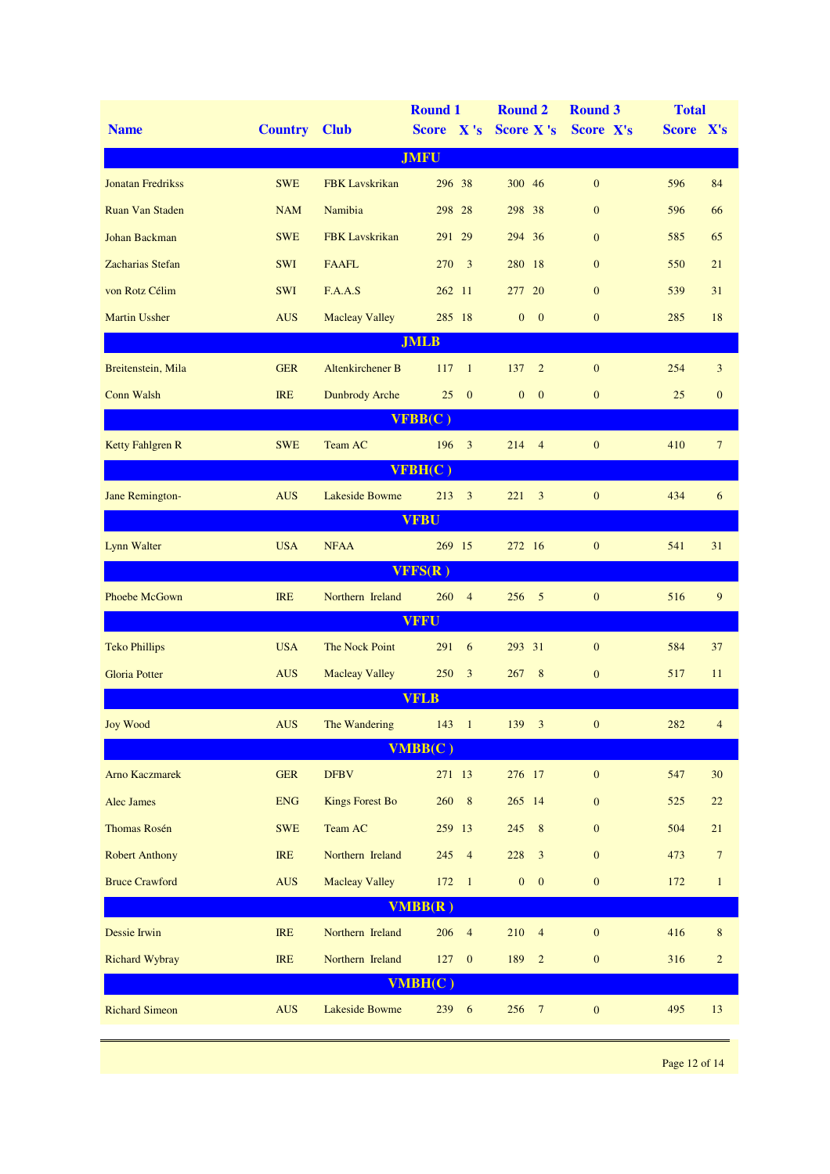|                          |                     |                                 | <b>Round 1</b>                 | <b>Round 2</b>                       | <b>Round 3</b>   | <b>Total</b> |                |
|--------------------------|---------------------|---------------------------------|--------------------------------|--------------------------------------|------------------|--------------|----------------|
| <b>Name</b>              | <b>Country Club</b> |                                 | Score X's                      | <b>Score X's</b>                     | Score X's        | Score X's    |                |
|                          |                     |                                 | <b>JMFU</b>                    |                                      |                  |              |                |
| <b>Jonatan Fredrikss</b> | <b>SWE</b>          | <b>FBK</b> Lavskrikan           | 296 38                         | 300 46                               | $\mathbf{0}$     | 596          | 84             |
| <b>Ruan Van Staden</b>   | <b>NAM</b>          | Namibia                         | 298 28                         | 298 38                               | $\mathbf{0}$     | 596          | 66             |
| Johan Backman            | <b>SWE</b>          | <b>FBK</b> Lavskrikan           | 291 29                         | 294 36                               | $\mathbf{0}$     | 585          | 65             |
| Zacharias Stefan         | <b>SWI</b>          | <b>FAAFL</b>                    | 270<br>$\overline{\mathbf{3}}$ | 280 18                               | $\mathbf{0}$     | 550          | 21             |
| von Rotz Célim           | <b>SWI</b>          | F.A.A.S                         | 262 11                         | 277<br><b>20</b>                     | $\mathbf{0}$     | 539          | 31             |
| <b>Martin Ussher</b>     | <b>AUS</b>          | <b>Macleay Valley</b>           | 285 18                         | $\mathbf{0}$<br>$\mathbf{0}$         | $\mathbf{0}$     | 285          | 18             |
|                          |                     |                                 | <b>JMLB</b>                    |                                      |                  |              |                |
| Breitenstein, Mila       | <b>GER</b>          | Altenkirchener B                | 117<br>$\overline{1}$          | 137<br>$\overline{2}$                | $\mathbf{0}$     | 254          | 3              |
| Conn Walsh               | <b>IRE</b>          | <b>Dunbrody Arche</b>           | 25<br>$\mathbf{0}$             | $\mathbf{0}$<br>$\mathbf{0}$         | $\mathbf{0}$     | 25           | $\mathbf{0}$   |
|                          |                     |                                 | VFBB(C)                        |                                      |                  |              |                |
| <b>Ketty Fahlgren R</b>  | <b>SWE</b>          | Team AC                         | 196 3                          | 214<br>$\overline{4}$                | $\mathbf{0}$     | 410          | $\overline{7}$ |
|                          |                     |                                 | VFBH(C)                        |                                      |                  |              |                |
| Jane Remington-          | <b>AUS</b>          | Lakeside Bowme                  | $213 \t3$                      | 221<br>3                             | $\mathbf{0}$     | 434          | 6              |
|                          |                     |                                 | <b>VFBU</b>                    |                                      |                  |              |                |
| Lynn Walter              | <b>USA</b>          | <b>NFAA</b>                     | 269 15                         | 272 16                               | $\mathbf{0}$     | 541          | 31             |
|                          |                     |                                 | VFFS(R)                        |                                      |                  |              |                |
| Phoebe McGown            | <b>IRE</b>          | Northern Ireland                | 260 4                          | $256 - 5$                            | $\mathbf{0}$     | 516          | $\overline{9}$ |
|                          |                     |                                 | <b>VFFU</b>                    |                                      |                  |              |                |
| <b>Teko Phillips</b>     | <b>USA</b>          | The Nock Point                  | 291<br>$-6$                    | 293 31                               | $\mathbf{0}$     | 584          | 37             |
| <b>Gloria Potter</b>     | <b>AUS</b>          | <b>Macleay Valley</b>           | 250<br>$\overline{\mathbf{3}}$ | 8<br>267                             | $\mathbf{0}$     | 517          | 11             |
|                          |                     |                                 | <b>VFLB</b>                    |                                      |                  |              |                |
| <b>Joy Wood</b>          |                     | AUS The Wandering 143 1 139 3 0 |                                |                                      |                  | 282 4        |                |
|                          |                     |                                 | VMBB(C)                        |                                      |                  |              |                |
| <b>Arno Kaczmarek</b>    | <b>GER</b>          | <b>DFBV</b>                     | 271 13                         | 276 17                               | $\boldsymbol{0}$ | 547          | 30             |
| Alec James               | <b>ENG</b>          | <b>Kings Forest Bo</b>          | 260 8                          | 265 14                               | $\boldsymbol{0}$ | 525          | 22             |
| <b>Thomas Rosén</b>      | <b>SWE</b>          | Team AC                         | 259 13                         | 245<br>$8\phantom{1}$                | $\boldsymbol{0}$ | 504          | $21\,$         |
| <b>Robert Anthony</b>    | <b>IRE</b>          | Northern Ireland                | 245 4                          | 228<br>3                             | $\boldsymbol{0}$ | 473          | $\overline{7}$ |
| <b>Bruce Crawford</b>    | <b>AUS</b>          | <b>Macleay Valley</b>           | $172 - 1$                      | $\boldsymbol{0}$<br>$\boldsymbol{0}$ | $\boldsymbol{0}$ | 172          | $\mathbf{1}$   |
|                          |                     |                                 | VMBB(R)                        |                                      |                  |              |                |
| <b>Dessie Irwin</b>      | IRE                 | Northern Ireland                | 206 4                          | 210<br>$\overline{4}$                | $\boldsymbol{0}$ | 416          | $\bf 8$        |
| <b>Richard Wybray</b>    | <b>IRE</b>          | Northern Ireland                | 127<br>$\mathbf{0}$            | 189<br>$\overline{2}$                | $\boldsymbol{0}$ | 316          | $\sqrt{2}$     |
|                          |                     |                                 | VMBH(C)                        |                                      |                  |              |                |
| <b>Richard Simeon</b>    | <b>AUS</b>          | <b>Lakeside Bowme</b>           | 239 6                          | 256<br>$\overline{7}$                | $\boldsymbol{0}$ | 495          | 13             |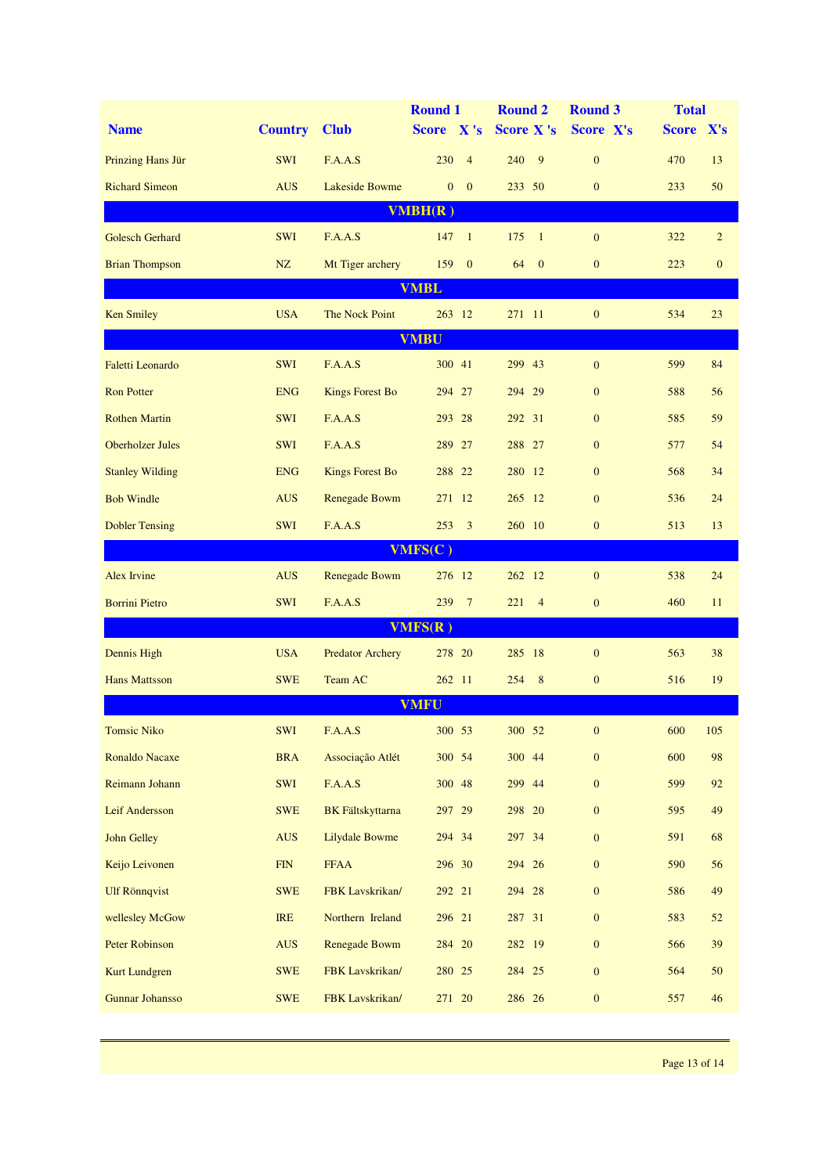|                         |                |                         | <b>Round 1</b>               | <b>Round 2</b>        | <b>Round 3</b>   | <b>Total</b> |                |  |  |  |  |  |  |
|-------------------------|----------------|-------------------------|------------------------------|-----------------------|------------------|--------------|----------------|--|--|--|--|--|--|
| <b>Name</b>             | <b>Country</b> | <b>Club</b>             | Score X's                    | <b>Score X's</b>      | Score X's        | Score X's    |                |  |  |  |  |  |  |
| Prinzing Hans Jür       | <b>SWI</b>     | F.A.A.S                 | 230<br>$\overline{4}$        | 240<br>9              | $\mathbf{0}$     | 470          | 13             |  |  |  |  |  |  |
| <b>Richard Simeon</b>   | <b>AUS</b>     | <b>Lakeside Bowme</b>   | $\mathbf{0}$<br>$\mathbf{0}$ | 233 50                | $\mathbf{0}$     | 233          | 50             |  |  |  |  |  |  |
| VMBH(R)                 |                |                         |                              |                       |                  |              |                |  |  |  |  |  |  |
| <b>Golesch Gerhard</b>  | <b>SWI</b>     | F.A.A.S                 | 147<br>$\mathbf{1}$          | 175<br>$\overline{1}$ | $\mathbf{0}$     | 322          | $\overline{2}$ |  |  |  |  |  |  |
| <b>Brian Thompson</b>   | NZ             | Mt Tiger archery        | $\mathbf{0}$<br>159          | 64<br>$\overline{0}$  | $\mathbf{0}$     | 223          | $\mathbf{0}$   |  |  |  |  |  |  |
| <b>VMBL</b>             |                |                         |                              |                       |                  |              |                |  |  |  |  |  |  |
| <b>Ken Smiley</b>       | <b>USA</b>     | The Nock Point          | 263 12                       | 271 11                | $\mathbf{0}$     | 534          | 23             |  |  |  |  |  |  |
| <b>VMBU</b>             |                |                         |                              |                       |                  |              |                |  |  |  |  |  |  |
| <b>Faletti Leonardo</b> | SWI            | F.A.A.S                 | 300 41                       | 299 43                | $\mathbf{0}$     | 599          | 84             |  |  |  |  |  |  |
| <b>Ron Potter</b>       | <b>ENG</b>     | <b>Kings Forest Bo</b>  | 294 27                       | 294 29                | $\mathbf{0}$     | 588          | 56             |  |  |  |  |  |  |
| <b>Rothen Martin</b>    | <b>SWI</b>     | F.A.A.S                 | 293 28                       | 292 31                | $\mathbf{0}$     | 585          | 59             |  |  |  |  |  |  |
| Oberholzer Jules        | <b>SWI</b>     | F.A.A.S                 | 289 27                       | 288 27                | $\mathbf{0}$     | 577          | 54             |  |  |  |  |  |  |
| <b>Stanley Wilding</b>  | <b>ENG</b>     | <b>Kings Forest Bo</b>  | 288 22                       | 280 12                | $\mathbf{0}$     | 568          | 34             |  |  |  |  |  |  |
| <b>Bob Windle</b>       | <b>AUS</b>     | Renegade Bowm           | 271 12                       | 265 12                | $\mathbf{0}$     | 536          | 24             |  |  |  |  |  |  |
| <b>Dobler Tensing</b>   | <b>SWI</b>     | F.A.A.S                 | $253 \quad 3$                | 260 10                | $\mathbf{0}$     | 513          | 13             |  |  |  |  |  |  |
|                         |                |                         | VMFS(C)                      |                       |                  |              |                |  |  |  |  |  |  |
| Alex Irvine             | <b>AUS</b>     | Renegade Bowm           | 276 12                       | 262 12                | $\mathbf{0}$     | 538          | 24             |  |  |  |  |  |  |
| <b>Borrini Pietro</b>   | <b>SWI</b>     | F.A.A.S                 | 239 7                        | 221<br>$\overline{4}$ | $\mathbf{0}$     | 460          | 11             |  |  |  |  |  |  |
|                         |                |                         | VMFS(R)                      |                       |                  |              |                |  |  |  |  |  |  |
| Dennis High             | <b>USA</b>     | <b>Predator Archery</b> | 278 20                       | 285 18                | $\mathbf{0}$     | 563          | 38             |  |  |  |  |  |  |
| <b>Hans Mattsson</b>    | <b>SWE</b>     | Team AC                 | 262 11                       | 8<br>254              | $\mathbf{0}$     | 516          | 19             |  |  |  |  |  |  |
|                         |                |                         | <b>VMFU</b>                  |                       |                  |              |                |  |  |  |  |  |  |
| <b>Tomsic Niko</b>      | SWI            | F.A.A.S                 | 300 53                       | 300 52                | $\mathbf{0}$     | 600          | 105            |  |  |  |  |  |  |
| Ronaldo Nacaxe          | <b>BRA</b>     | Associação Atlét        | 300 54                       | 300 44                | $\boldsymbol{0}$ | 600          | 98             |  |  |  |  |  |  |
| Reimann Johann          | SWI            | F.A.A.S                 | 300 48                       | 299 44                | $\mathbf{0}$     | 599          | 92             |  |  |  |  |  |  |
| Leif Andersson          | <b>SWE</b>     | <b>BK</b> Fältskyttarna | 297 29                       | 298 20                | $\mathbf{0}$     | 595          | 49             |  |  |  |  |  |  |
| John Gelley             | <b>AUS</b>     | Lilydale Bowme          | 294 34                       | 297 34                | $\mathbf{0}$     | 591          | 68             |  |  |  |  |  |  |
| Keijo Leivonen          | <b>FIN</b>     | <b>FFAA</b>             | 296 30                       | 294 26                | $\mathbf{0}$     | 590          | 56             |  |  |  |  |  |  |
| <b>Ulf Rönnqvist</b>    | <b>SWE</b>     | FBK Lavskrikan/         | 292 21                       | 294 28                | $\mathbf{0}$     | 586          | 49             |  |  |  |  |  |  |
| wellesley McGow         | <b>IRE</b>     | Northern Ireland        | 296 21                       | 287 31                | $\mathbf{0}$     | 583          | 52             |  |  |  |  |  |  |
| <b>Peter Robinson</b>   | <b>AUS</b>     | Renegade Bowm           | 284 20                       | 282 19                | $\mathbf{0}$     | 566          | 39             |  |  |  |  |  |  |
| <b>Kurt Lundgren</b>    | <b>SWE</b>     | FBK Lavskrikan/         | 280 25                       | 284 25                | $\mathbf{0}$     | 564          | 50             |  |  |  |  |  |  |
| <b>Gunnar Johansso</b>  | <b>SWE</b>     | FBK Lavskrikan/         | 271 20                       | 286 26                | $\boldsymbol{0}$ | 557          | 46             |  |  |  |  |  |  |
|                         |                |                         |                              |                       |                  |              |                |  |  |  |  |  |  |